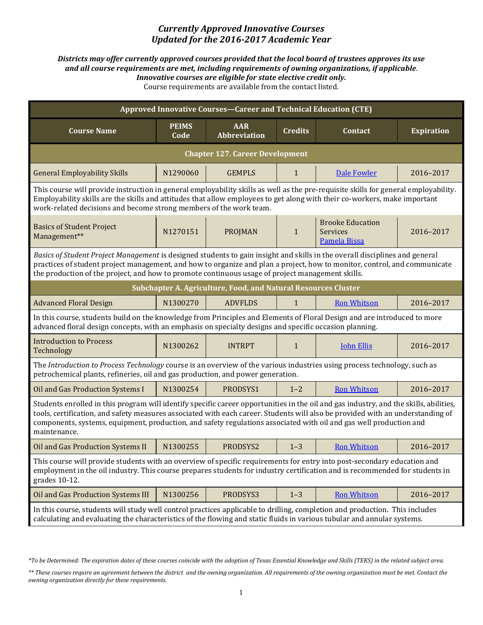## *Currently Approved Innovative Courses Updated for the 2016-2017 Academic Year*

## *Districts may offer currently approved courses provided that the local board of trustees approves its use and all course requirements are met, including requirements of owning organizations, if applicable*. *Innovative courses are eligible for state elective credit only.* Course requirements are available from the contact listed.

| Approved Innovative Courses-Career and Technical Education (CTE)                                                                                                                                                                                                                                                                                                                                              |                      |                                                                |                |                                                            |                   |  |  |
|---------------------------------------------------------------------------------------------------------------------------------------------------------------------------------------------------------------------------------------------------------------------------------------------------------------------------------------------------------------------------------------------------------------|----------------------|----------------------------------------------------------------|----------------|------------------------------------------------------------|-------------------|--|--|
| <b>Course Name</b>                                                                                                                                                                                                                                                                                                                                                                                            | <b>PEIMS</b><br>Code | <b>AAR</b><br><b>Abbreviation</b>                              | <b>Credits</b> | <b>Contact</b>                                             | <b>Expiration</b> |  |  |
|                                                                                                                                                                                                                                                                                                                                                                                                               |                      | <b>Chapter 127. Career Development</b>                         |                |                                                            |                   |  |  |
| <b>General Employability Skills</b>                                                                                                                                                                                                                                                                                                                                                                           | N1290060             | <b>GEMPLS</b>                                                  | $\mathbf{1}$   | Dale Fowler                                                | 2016-2017         |  |  |
| This course will provide instruction in general employability skills as well as the pre-requisite skills for general employability.<br>Employability skills are the skills and attitudes that allow employees to get along with their co-workers, make important<br>work-related decisions and become strong members of the work team.                                                                        |                      |                                                                |                |                                                            |                   |  |  |
| <b>Basics of Student Project</b><br>Management**                                                                                                                                                                                                                                                                                                                                                              | N1270151             | <b>PROJMAN</b>                                                 | $\mathbf{1}$   | <b>Brooke Education</b><br><b>Services</b><br>Pamela Bissa | 2016-2017         |  |  |
| Basics of Student Project Management is designed students to gain insight and skills in the overall disciplines and general<br>practices of student project management, and how to organize and plan a project, how to monitor, control, and communicate<br>the production of the project, and how to promote continuous usage of project management skills.                                                  |                      |                                                                |                |                                                            |                   |  |  |
|                                                                                                                                                                                                                                                                                                                                                                                                               |                      | Subchapter A. Agriculture, Food, and Natural Resources Cluster |                |                                                            |                   |  |  |
| <b>Advanced Floral Design</b>                                                                                                                                                                                                                                                                                                                                                                                 | N1300270             | <b>ADVFLDS</b>                                                 | $\mathbf{1}$   | <b>Ron Whitson</b>                                         | 2016-2017         |  |  |
| In this course, students build on the knowledge from Principles and Elements of Floral Design and are introduced to more<br>advanced floral design concepts, with an emphasis on specialty designs and specific occasion planning.                                                                                                                                                                            |                      |                                                                |                |                                                            |                   |  |  |
| <b>Introduction to Process</b><br>Technology                                                                                                                                                                                                                                                                                                                                                                  | N1300262             | <b>INTRPT</b>                                                  | $\mathbf{1}$   | <b>John Ellis</b>                                          | 2016-2017         |  |  |
| The Introduction to Process Technology course is an overview of the various industries using process technology, such as<br>petrochemical plants, refineries, oil and gas production, and power generation.                                                                                                                                                                                                   |                      |                                                                |                |                                                            |                   |  |  |
| Oil and Gas Production Systems I                                                                                                                                                                                                                                                                                                                                                                              | N1300254             | PRODSYS1                                                       | $1 - 2$        | <b>Ron Whitson</b>                                         | 2016-2017         |  |  |
| Students enrolled in this program will identify specific career opportunities in the oil and gas industry, and the skills, abilities,<br>tools, certification, and safety measures associated with each career. Students will also be provided with an understanding of<br>components, systems, equipment, production, and safety regulations associated with oil and gas well production and<br>maintenance. |                      |                                                                |                |                                                            |                   |  |  |
| Oil and Gas Production Systems II                                                                                                                                                                                                                                                                                                                                                                             | N1300255             | PRODSYS2                                                       | $1 - 3$        | <b>Ron Whitson</b>                                         | 2016-2017         |  |  |
| This course will provide students with an overview of specific requirements for entry into post-secondary education and<br>employment in the oil industry. This course prepares students for industry certification and is recommended for students in<br>grades 10-12.                                                                                                                                       |                      |                                                                |                |                                                            |                   |  |  |
| Oil and Gas Production Systems III                                                                                                                                                                                                                                                                                                                                                                            | N1300256             | PRODSYS3                                                       | $1 - 3$        | <b>Ron Whitson</b>                                         | 2016-2017         |  |  |
| In this course, students will study well control practices applicable to drilling, completion and production. This includes<br>calculating and evaluating the characteristics of the flowing and static fluids in various tubular and annular systems.                                                                                                                                                        |                      |                                                                |                |                                                            |                   |  |  |

*<sup>\*</sup>To be Determined: The expiration dates of these courses coincide with the adoption of Texas Essential Knowledge and Skills (TEKS) in the related subject area.*

<sup>\*\*</sup> These courses require an agreement between the district and the owning organization. All requirements of the owning organization must be met. Contact the *owning organization directly for these requirements.*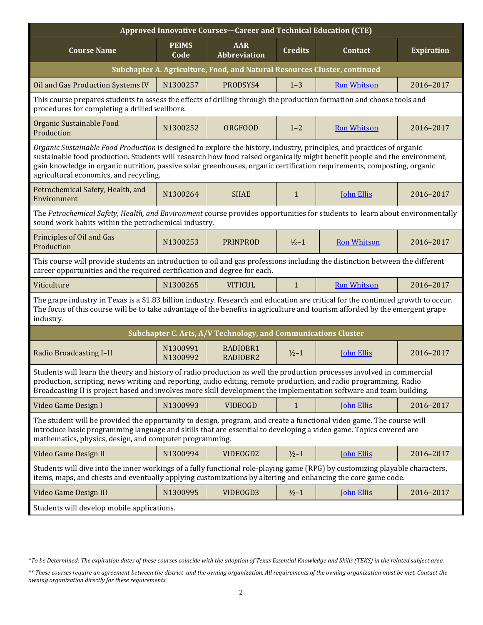| Approved Innovative Courses-Career and Technical Education (CTE)                                                                                                                                                                                                                                                                                                                                                         |                      |                                                                           |                |                    |                   |  |  |
|--------------------------------------------------------------------------------------------------------------------------------------------------------------------------------------------------------------------------------------------------------------------------------------------------------------------------------------------------------------------------------------------------------------------------|----------------------|---------------------------------------------------------------------------|----------------|--------------------|-------------------|--|--|
| <b>Course Name</b>                                                                                                                                                                                                                                                                                                                                                                                                       | <b>PEIMS</b><br>Code | <b>AAR</b><br><b>Abbreviation</b>                                         | <b>Credits</b> | Contact            | <b>Expiration</b> |  |  |
|                                                                                                                                                                                                                                                                                                                                                                                                                          |                      | Subchapter A. Agriculture, Food, and Natural Resources Cluster, continued |                |                    |                   |  |  |
| Oil and Gas Production Systems IV                                                                                                                                                                                                                                                                                                                                                                                        | N1300257             | PRODSYS4                                                                  | $1 - 3$        | <b>Ron Whitson</b> | 2016-2017         |  |  |
| This course prepares students to assess the effects of drilling through the production formation and choose tools and<br>procedures for completing a drilled wellbore.                                                                                                                                                                                                                                                   |                      |                                                                           |                |                    |                   |  |  |
| Organic Sustainable Food<br>Production                                                                                                                                                                                                                                                                                                                                                                                   | N1300252             | <b>ORGFOOD</b>                                                            | $1 - 2$        | <b>Ron Whitson</b> | 2016-2017         |  |  |
| Organic Sustainable Food Production is designed to explore the history, industry, principles, and practices of organic<br>sustainable food production. Students will research how food raised organically might benefit people and the environment,<br>gain knowledge in organic nutrition, passive solar greenhouses, organic certification requirements, composting, organic<br>agricultural economics, and recycling. |                      |                                                                           |                |                    |                   |  |  |
| Petrochemical Safety, Health, and<br>Environment                                                                                                                                                                                                                                                                                                                                                                         | N1300264             | <b>SHAE</b>                                                               | $\mathbf{1}$   | <b>John Ellis</b>  | 2016-2017         |  |  |
| The Petrochemical Safety, Health, and Environment course provides opportunities for students to learn about environmentally<br>sound work habits within the petrochemical industry.                                                                                                                                                                                                                                      |                      |                                                                           |                |                    |                   |  |  |
| Principles of Oil and Gas<br>Production                                                                                                                                                                                                                                                                                                                                                                                  | N1300253             | <b>PRINPROD</b>                                                           | $1/2 - 1$      | <b>Ron Whitson</b> | 2016-2017         |  |  |
| This course will provide students an introduction to oil and gas professions including the distinction between the different<br>career opportunities and the required certification and degree for each.                                                                                                                                                                                                                 |                      |                                                                           |                |                    |                   |  |  |
| Viticulture                                                                                                                                                                                                                                                                                                                                                                                                              | N1300265             | <b>VITICUL</b>                                                            | $\mathbf{1}$   | <b>Ron Whitson</b> | 2016-2017         |  |  |
| The grape industry in Texas is a \$1.83 billion industry. Research and education are critical for the continued growth to occur.<br>The focus of this course will be to take advantage of the benefits in agriculture and tourism afforded by the emergent grape<br>industry.                                                                                                                                            |                      |                                                                           |                |                    |                   |  |  |
|                                                                                                                                                                                                                                                                                                                                                                                                                          |                      | Subchapter C. Arts, A/V Technology, and Communications Cluster            |                |                    |                   |  |  |
| Radio Broadcasting I-II                                                                                                                                                                                                                                                                                                                                                                                                  | N1300991<br>N1300992 | RADIOBR1<br>RADIOBR2                                                      | $1/2 - 1$      | <b>John Ellis</b>  | 2016-2017         |  |  |
| Students will learn the theory and history of radio production as well the production processes involved in commercial<br>production, scripting, news writing and reporting, audio editing, remote production, and radio programming. Radio<br>Broadcasting II is project based and involves more skill development the implementation software and team building.                                                       |                      |                                                                           |                |                    |                   |  |  |
| Video Game Design I                                                                                                                                                                                                                                                                                                                                                                                                      | N1300993             | <b>VIDEOGD</b>                                                            | $\mathbf{1}$   | <b>John Ellis</b>  | 2016-2017         |  |  |
| The student will be provided the opportunity to design, program, and create a functional video game. The course will<br>introduce basic programming language and skills that are essential to developing a video game. Topics covered are<br>mathematics, physics, design, and computer programming.                                                                                                                     |                      |                                                                           |                |                    |                   |  |  |
| Video Game Design II                                                                                                                                                                                                                                                                                                                                                                                                     | N1300994             | VIDEOGD2                                                                  | $1/2 - 1$      | <b>John Ellis</b>  | 2016-2017         |  |  |
| Students will dive into the inner workings of a fully functional role-playing game (RPG) by customizing playable characters,<br>items, maps, and chests and eventually applying customizations by altering and enhancing the core game code.                                                                                                                                                                             |                      |                                                                           |                |                    |                   |  |  |
| Video Game Design III                                                                                                                                                                                                                                                                                                                                                                                                    | N1300995             | VIDEOGD3                                                                  | $1/2 - 1$      | <b>John Ellis</b>  | 2016-2017         |  |  |
| Students will develop mobile applications.                                                                                                                                                                                                                                                                                                                                                                               |                      |                                                                           |                |                    |                   |  |  |

*<sup>\*</sup>To be Determined: The expiration dates of these courses coincide with the adoption of Texas Essential Knowledge and Skills (TEKS) in the related subject area.*

*<sup>\*\*</sup> These courses require an agreement between the district and the owning organization. All requirements of the owning organization must be met. Contact the owning organization directly for these requirements.*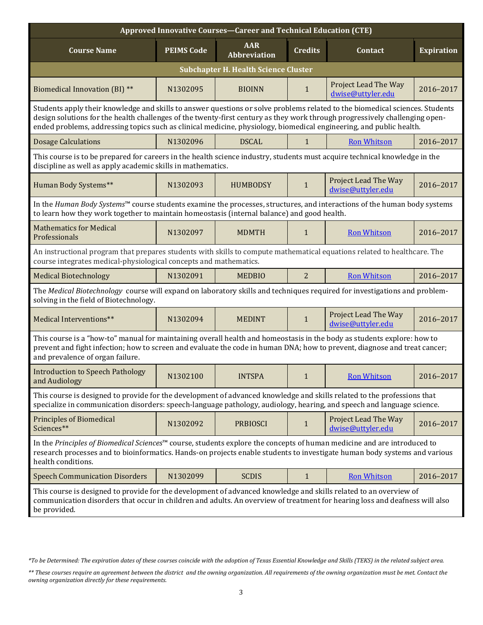| <b>Approved Innovative Courses-Career and Technical Education (CTE)</b>                                                                                                                                                                                                                                                                                                            |                   |                                   |                |                                           |           |  |  |  |  |
|------------------------------------------------------------------------------------------------------------------------------------------------------------------------------------------------------------------------------------------------------------------------------------------------------------------------------------------------------------------------------------|-------------------|-----------------------------------|----------------|-------------------------------------------|-----------|--|--|--|--|
| <b>Course Name</b>                                                                                                                                                                                                                                                                                                                                                                 | <b>PEIMS Code</b> | <b>AAR</b><br><b>Abbreviation</b> | Contact        | <b>Expiration</b>                         |           |  |  |  |  |
| <b>Subchapter H. Health Science Cluster</b>                                                                                                                                                                                                                                                                                                                                        |                   |                                   |                |                                           |           |  |  |  |  |
| <b>Biomedical Innovation (BI) **</b>                                                                                                                                                                                                                                                                                                                                               | N1302095          | <b>BIOINN</b>                     | $\mathbf{1}$   | Project Lead The Way<br>dwise@uttyler.edu | 2016-2017 |  |  |  |  |
| Students apply their knowledge and skills to answer questions or solve problems related to the biomedical sciences. Students<br>design solutions for the health challenges of the twenty-first century as they work through progressively challenging open-<br>ended problems, addressing topics such as clinical medicine, physiology, biomedical engineering, and public health. |                   |                                   |                |                                           |           |  |  |  |  |
| <b>Dosage Calculations</b>                                                                                                                                                                                                                                                                                                                                                         | N1302096          | <b>DSCAL</b>                      | $\mathbf{1}$   | <b>Ron Whitson</b>                        | 2016-2017 |  |  |  |  |
| This course is to be prepared for careers in the health science industry, students must acquire technical knowledge in the<br>discipline as well as apply academic skills in mathematics.                                                                                                                                                                                          |                   |                                   |                |                                           |           |  |  |  |  |
| Human Body Systems**                                                                                                                                                                                                                                                                                                                                                               | N1302093          | <b>HUMBODSY</b>                   | $\mathbf{1}$   | Project Lead The Way<br>dwise@uttyler.edu | 2016-2017 |  |  |  |  |
| In the Human Body Systems™ course students examine the processes, structures, and interactions of the human body systems<br>to learn how they work together to maintain homeostasis (internal balance) and good health.                                                                                                                                                            |                   |                                   |                |                                           |           |  |  |  |  |
| <b>Mathematics for Medical</b><br>Professionals                                                                                                                                                                                                                                                                                                                                    | N1302097          | <b>MDMTH</b>                      | $\mathbf{1}$   | <b>Ron Whitson</b>                        | 2016-2017 |  |  |  |  |
| An instructional program that prepares students with skills to compute mathematical equations related to healthcare. The<br>course integrates medical-physiological concepts and mathematics.                                                                                                                                                                                      |                   |                                   |                |                                           |           |  |  |  |  |
| <b>Medical Biotechnology</b>                                                                                                                                                                                                                                                                                                                                                       | N1302091          | <b>MEDBIO</b>                     | $\overline{2}$ | <b>Ron Whitson</b>                        | 2016-2017 |  |  |  |  |
| The Medical Biotechnology course will expand on laboratory skills and techniques required for investigations and problem-<br>solving in the field of Biotechnology.                                                                                                                                                                                                                |                   |                                   |                |                                           |           |  |  |  |  |
| Medical Interventions**                                                                                                                                                                                                                                                                                                                                                            | N1302094          | <b>MEDINT</b>                     | $\mathbf{1}$   | Project Lead The Way<br>dwise@uttyler.edu | 2016-2017 |  |  |  |  |
| This course is a "how-to" manual for maintaining overall health and homeostasis in the body as students explore: how to<br>prevent and fight infection; how to screen and evaluate the code in human DNA; how to prevent, diagnose and treat cancer;<br>and prevalence of organ failure.                                                                                           |                   |                                   |                |                                           |           |  |  |  |  |
| <b>Introduction to Speech Pathology</b><br>and Audiology                                                                                                                                                                                                                                                                                                                           | N1302100          | <b>INTSPA</b>                     | $\mathbf{1}$   | <b>Ron Whitson</b>                        | 2016-2017 |  |  |  |  |
| This course is designed to provide for the development of advanced knowledge and skills related to the professions that<br>specialize in communication disorders: speech-language pathology, audiology, hearing, and speech and language science.                                                                                                                                  |                   |                                   |                |                                           |           |  |  |  |  |
| <b>Principles of Biomedical</b><br>Sciences**                                                                                                                                                                                                                                                                                                                                      | N1302092          | <b>PRBIOSCI</b>                   | $\mathbf{1}$   | Project Lead The Way<br>dwise@uttyler.edu | 2016-2017 |  |  |  |  |
| In the Principles of Biomedical Sciences <sup>™</sup> course, students explore the concepts of human medicine and are introduced to<br>research processes and to bioinformatics. Hands-on projects enable students to investigate human body systems and various<br>health conditions.                                                                                             |                   |                                   |                |                                           |           |  |  |  |  |
| <b>Speech Communication Disorders</b>                                                                                                                                                                                                                                                                                                                                              | N1302099          | <b>SCDIS</b>                      | $\mathbf{1}$   | <b>Ron Whitson</b>                        | 2016-2017 |  |  |  |  |
| This course is designed to provide for the development of advanced knowledge and skills related to an overview of<br>communication disorders that occur in children and adults. An overview of treatment for hearing loss and deafness will also<br>be provided.                                                                                                                   |                   |                                   |                |                                           |           |  |  |  |  |

*<sup>\*</sup>To be Determined: The expiration dates of these courses coincide with the adoption of Texas Essential Knowledge and Skills (TEKS) in the related subject area.*

*<sup>\*\*</sup> These courses require an agreement between the district and the owning organization. All requirements of the owning organization must be met. Contact the owning organization directly for these requirements.*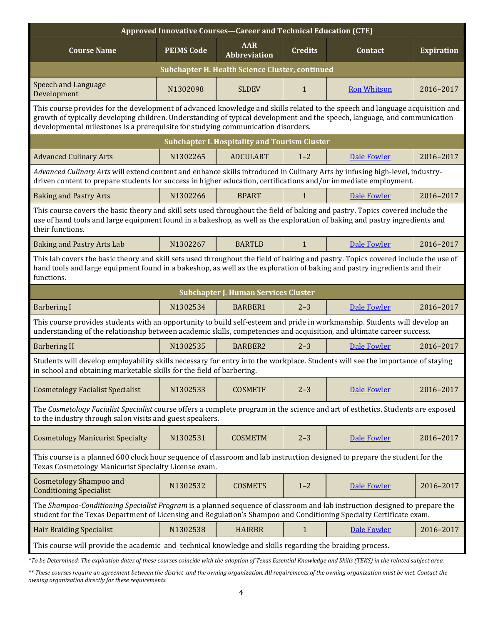| Approved Innovative Courses-Career and Technical Education (CTE)                                                                                                                                                                                                                                                                              |                   |                                                      |                   |                    |           |  |  |  |  |
|-----------------------------------------------------------------------------------------------------------------------------------------------------------------------------------------------------------------------------------------------------------------------------------------------------------------------------------------------|-------------------|------------------------------------------------------|-------------------|--------------------|-----------|--|--|--|--|
| <b>Course Name</b>                                                                                                                                                                                                                                                                                                                            | <b>PEIMS Code</b> | Contact                                              | <b>Expiration</b> |                    |           |  |  |  |  |
| Subchapter H. Health Science Cluster, continued                                                                                                                                                                                                                                                                                               |                   |                                                      |                   |                    |           |  |  |  |  |
| <b>Speech and Language</b><br>Development                                                                                                                                                                                                                                                                                                     | N1302098          | <b>SLDEV</b>                                         | $\mathbf{1}$      | <b>Ron Whitson</b> | 2016-2017 |  |  |  |  |
| This course provides for the development of advanced knowledge and skills related to the speech and language acquisition and<br>growth of typically developing children. Understanding of typical development and the speech, language, and communication<br>developmental milestones is a prerequisite for studying communication disorders. |                   |                                                      |                   |                    |           |  |  |  |  |
|                                                                                                                                                                                                                                                                                                                                               |                   | <b>Subchapter I. Hospitality and Tourism Cluster</b> |                   |                    |           |  |  |  |  |
| <b>Advanced Culinary Arts</b>                                                                                                                                                                                                                                                                                                                 | N1302265          | <b>ADCULART</b>                                      | $1 - 2$           | Dale Fowler        | 2016-2017 |  |  |  |  |
| Advanced Culinary Arts will extend content and enhance skills introduced in Culinary Arts by infusing high-level, industry-<br>driven content to prepare students for success in higher education, certifications and/or immediate employment.                                                                                                |                   |                                                      |                   |                    |           |  |  |  |  |
| <b>Baking and Pastry Arts</b>                                                                                                                                                                                                                                                                                                                 | N1302266          | <b>BPART</b>                                         | 1                 | Dale Fowler        | 2016-2017 |  |  |  |  |
| This course covers the basic theory and skill sets used throughout the field of baking and pastry. Topics covered include the<br>use of hand tools and large equipment found in a bakeshop, as well as the exploration of baking and pastry ingredients and<br>their functions.                                                               |                   |                                                      |                   |                    |           |  |  |  |  |
| <b>Baking and Pastry Arts Lab</b>                                                                                                                                                                                                                                                                                                             | N1302267          | <b>BARTLB</b>                                        | $\mathbf{1}$      | Dale Fowler        | 2016-2017 |  |  |  |  |
| This lab covers the basic theory and skill sets used throughout the field of baking and pastry. Topics covered include the use of<br>hand tools and large equipment found in a bakeshop, as well as the exploration of baking and pastry ingredients and their<br>functions.                                                                  |                   |                                                      |                   |                    |           |  |  |  |  |
|                                                                                                                                                                                                                                                                                                                                               |                   | <b>Subchapter J. Human Services Cluster</b>          |                   |                    |           |  |  |  |  |
| <b>Barbering I</b>                                                                                                                                                                                                                                                                                                                            | N1302534          | <b>BARBER1</b>                                       | $2 - 3$           | Dale Fowler        | 2016-2017 |  |  |  |  |
| This course provides students with an opportunity to build self-esteem and pride in workmanship. Students will develop an<br>understanding of the relationship between academic skills, competencies and acquisition, and ultimate career success.                                                                                            |                   |                                                      |                   |                    |           |  |  |  |  |
| <b>Barbering II</b>                                                                                                                                                                                                                                                                                                                           | N1302535          | <b>BARBER2</b>                                       | $2 - 3$           | Dale Fowler        | 2016-2017 |  |  |  |  |
| Students will develop employability skills necessary for entry into the workplace. Students will see the importance of staying<br>in school and obtaining marketable skills for the field of barbering.                                                                                                                                       |                   |                                                      |                   |                    |           |  |  |  |  |
| <b>Cosmetology Facialist Specialist</b>                                                                                                                                                                                                                                                                                                       | N1302533          | <b>COSMETF</b>                                       | $2 - 3$           | <b>Dale Fowler</b> | 2016-2017 |  |  |  |  |
| The Cosmetology Facialist Specialist course offers a complete program in the science and art of esthetics. Students are exposed<br>to the industry through salon visits and guest speakers.                                                                                                                                                   |                   |                                                      |                   |                    |           |  |  |  |  |
| <b>Cosmetology Manicurist Specialty</b>                                                                                                                                                                                                                                                                                                       | N1302531          | <b>COSMETM</b>                                       | $2 - 3$           | Dale Fowler        | 2016-2017 |  |  |  |  |
| This course is a planned 600 clock hour sequence of classroom and lab instruction designed to prepare the student for the<br>Texas Cosmetology Manicurist Specialty License exam.                                                                                                                                                             |                   |                                                      |                   |                    |           |  |  |  |  |
| <b>Cosmetology Shampoo and</b><br><b>Conditioning Specialist</b>                                                                                                                                                                                                                                                                              | N1302532          | <b>COSMETS</b>                                       | $1 - 2$           | Dale Fowler        | 2016-2017 |  |  |  |  |
| The Shampoo-Conditioning Specialist Program is a planned sequence of classroom and lab instruction designed to prepare the<br>student for the Texas Department of Licensing and Regulation's Shampoo and Conditioning Specialty Certificate exam.                                                                                             |                   |                                                      |                   |                    |           |  |  |  |  |
| <b>Hair Braiding Specialist</b>                                                                                                                                                                                                                                                                                                               | N1302538          | <b>HAIRBR</b>                                        | $\mathbf{1}$      | <b>Dale Fowler</b> | 2016-2017 |  |  |  |  |
| This course will provide the academic and technical knowledge and skills regarding the braiding process.                                                                                                                                                                                                                                      |                   |                                                      |                   |                    |           |  |  |  |  |

*\*To be Determined: The expiration dates of these courses coincide with the adoption of Texas Essential Knowledge and Skills (TEKS) in the related subject area.*

*\*\* These courses require an agreement between the district and the owning organization. All requirements of the owning organization must be met. Contact the owning organization directly for these requirements.*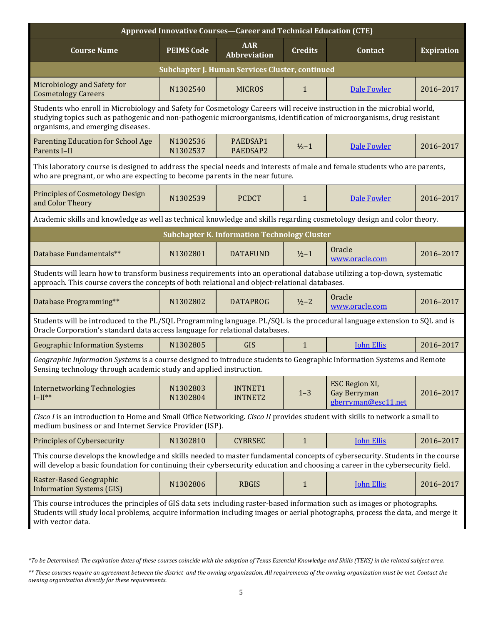| Approved Innovative Courses-Career and Technical Education (CTE)                                                                                                                                                                                                                       |                                                                                     |                                                     |              |                                                       |           |  |  |  |  |
|----------------------------------------------------------------------------------------------------------------------------------------------------------------------------------------------------------------------------------------------------------------------------------------|-------------------------------------------------------------------------------------|-----------------------------------------------------|--------------|-------------------------------------------------------|-----------|--|--|--|--|
| <b>Course Name</b>                                                                                                                                                                                                                                                                     | <b>AAR</b><br><b>PEIMS Code</b><br><b>Credits</b><br>Contact<br><b>Abbreviation</b> |                                                     |              |                                                       |           |  |  |  |  |
| Subchapter J. Human Services Cluster, continued                                                                                                                                                                                                                                        |                                                                                     |                                                     |              |                                                       |           |  |  |  |  |
| Microbiology and Safety for<br><b>Cosmetology Careers</b>                                                                                                                                                                                                                              | N1302540                                                                            | <b>MICROS</b>                                       | $\mathbf{1}$ | <b>Dale Fowler</b>                                    | 2016-2017 |  |  |  |  |
| Students who enroll in Microbiology and Safety for Cosmetology Careers will receive instruction in the microbial world,<br>studying topics such as pathogenic and non-pathogenic microorganisms, identification of microorganisms, drug resistant<br>organisms, and emerging diseases. |                                                                                     |                                                     |              |                                                       |           |  |  |  |  |
| <b>Parenting Education for School Age</b><br>Parents I-II                                                                                                                                                                                                                              | N1302536<br>N1302537                                                                | PAEDSAP1<br>PAEDSAP2                                | $1/2 - 1$    | <b>Dale Fowler</b>                                    | 2016-2017 |  |  |  |  |
| This laboratory course is designed to address the special needs and interests of male and female students who are parents,<br>who are pregnant, or who are expecting to become parents in the near future.                                                                             |                                                                                     |                                                     |              |                                                       |           |  |  |  |  |
| <b>Principles of Cosmetology Design</b><br>and Color Theory                                                                                                                                                                                                                            | N1302539                                                                            | <b>PCDCT</b>                                        | $\mathbf{1}$ | <b>Dale Fowler</b>                                    | 2016-2017 |  |  |  |  |
| Academic skills and knowledge as well as technical knowledge and skills regarding cosmetology design and color theory.                                                                                                                                                                 |                                                                                     |                                                     |              |                                                       |           |  |  |  |  |
|                                                                                                                                                                                                                                                                                        |                                                                                     | <b>Subchapter K. Information Technology Cluster</b> |              |                                                       |           |  |  |  |  |
| Database Fundamentals**                                                                                                                                                                                                                                                                | N1302801                                                                            | <b>DATAFUND</b>                                     | $1/2 - 1$    | Oracle<br>www.oracle.com                              | 2016-2017 |  |  |  |  |
| Students will learn how to transform business requirements into an operational database utilizing a top-down, systematic<br>approach. This course covers the concepts of both relational and object-relational databases.                                                              |                                                                                     |                                                     |              |                                                       |           |  |  |  |  |
| Database Programming**                                                                                                                                                                                                                                                                 | N1302802                                                                            | <b>DATAPROG</b>                                     | $1/2 - 2$    | Oracle<br>www.oracle.com                              | 2016-2017 |  |  |  |  |
| Students will be introduced to the PL/SQL Programming language. PL/SQL is the procedural language extension to SQL and is<br>Oracle Corporation's standard data access language for relational databases.                                                                              |                                                                                     |                                                     |              |                                                       |           |  |  |  |  |
| <b>Geographic Information Systems</b>                                                                                                                                                                                                                                                  | N1302805                                                                            | GIS                                                 | $\mathbf{1}$ | <b>John Ellis</b>                                     | 2016-2017 |  |  |  |  |
| Geographic Information Systems is a course designed to introduce students to Geographic Information Systems and Remote<br>Sensing technology through academic study and applied instruction.                                                                                           |                                                                                     |                                                     |              |                                                       |           |  |  |  |  |
| <b>Internetworking Technologies</b><br>$I-II**$                                                                                                                                                                                                                                        | N1302803<br>N1302804                                                                | <b>INTNET1</b><br><b>INTNET2</b>                    | $1 - 3$      | ESC Region XI,<br>Gay Berryman<br>gberryman@esc11.net | 2016-2017 |  |  |  |  |
| Cisco I is an introduction to Home and Small Office Networking. Cisco II provides student with skills to network a small to<br>medium business or and Internet Service Provider (ISP).                                                                                                 |                                                                                     |                                                     |              |                                                       |           |  |  |  |  |
| Principles of Cybersecurity                                                                                                                                                                                                                                                            | N1302810                                                                            | <b>CYBRSEC</b>                                      | $\mathbf{1}$ | <b>John Ellis</b>                                     | 2016-2017 |  |  |  |  |
| This course develops the knowledge and skills needed to master fundamental concepts of cybersecurity. Students in the course<br>will develop a basic foundation for continuing their cybersecurity education and choosing a career in the cybersecurity field.                         |                                                                                     |                                                     |              |                                                       |           |  |  |  |  |
| Raster-Based Geographic<br><b>Information Systems (GIS)</b>                                                                                                                                                                                                                            | N1302806                                                                            | <b>RBGIS</b>                                        | $\mathbf{1}$ | <b>John Ellis</b>                                     | 2016-2017 |  |  |  |  |
| This course introduces the principles of GIS data sets including raster-based information such as images or photographs.<br>Students will study local problems, acquire information including images or aerial photographs, process the data, and merge it<br>with vector data.        |                                                                                     |                                                     |              |                                                       |           |  |  |  |  |

*<sup>\*</sup>To be Determined: The expiration dates of these courses coincide with the adoption of Texas Essential Knowledge and Skills (TEKS) in the related subject area.*

*<sup>\*\*</sup> These courses require an agreement between the district and the owning organization. All requirements of the owning organization must be met. Contact the owning organization directly for these requirements.*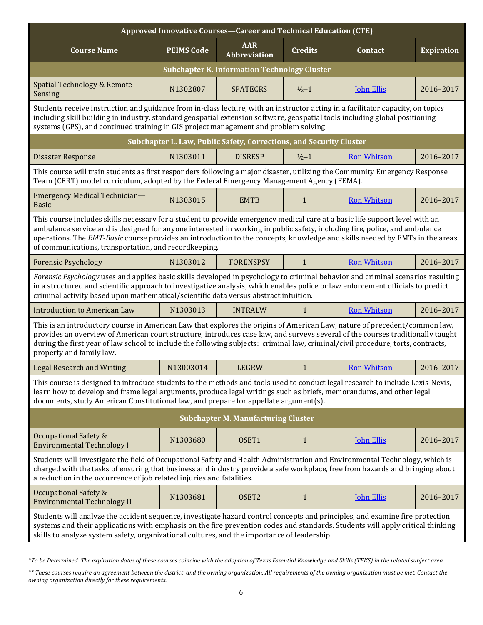| Approved Innovative Courses-Career and Technical Education (CTE)                                                                                                                                                                                                                                                                                                                                                            |                                                                                                                                                                                                                                                                                                                                                                                                                                                   |                                                                                     |                   |                    |           |  |  |  |  |
|-----------------------------------------------------------------------------------------------------------------------------------------------------------------------------------------------------------------------------------------------------------------------------------------------------------------------------------------------------------------------------------------------------------------------------|---------------------------------------------------------------------------------------------------------------------------------------------------------------------------------------------------------------------------------------------------------------------------------------------------------------------------------------------------------------------------------------------------------------------------------------------------|-------------------------------------------------------------------------------------|-------------------|--------------------|-----------|--|--|--|--|
| <b>Course Name</b>                                                                                                                                                                                                                                                                                                                                                                                                          | <b>PEIMS Code</b>                                                                                                                                                                                                                                                                                                                                                                                                                                 | <b>AAR</b><br><b>Credits</b><br><b>Expiration</b><br>Contact<br><b>Abbreviation</b> |                   |                    |           |  |  |  |  |
| <b>Subchapter K. Information Technology Cluster</b>                                                                                                                                                                                                                                                                                                                                                                         |                                                                                                                                                                                                                                                                                                                                                                                                                                                   |                                                                                     |                   |                    |           |  |  |  |  |
| Spatial Technology & Remote<br>Sensing                                                                                                                                                                                                                                                                                                                                                                                      | N1302807                                                                                                                                                                                                                                                                                                                                                                                                                                          | <b>SPATECRS</b>                                                                     | $\frac{1}{2} - 1$ | <b>John Ellis</b>  | 2016-2017 |  |  |  |  |
| Students receive instruction and guidance from in-class lecture, with an instructor acting in a facilitator capacity, on topics<br>including skill building in industry, standard geospatial extension software, geospatial tools including global positioning<br>systems (GPS), and continued training in GIS project management and problem solving.                                                                      |                                                                                                                                                                                                                                                                                                                                                                                                                                                   |                                                                                     |                   |                    |           |  |  |  |  |
|                                                                                                                                                                                                                                                                                                                                                                                                                             |                                                                                                                                                                                                                                                                                                                                                                                                                                                   | Subchapter L. Law, Public Safety, Corrections, and Security Cluster                 |                   |                    |           |  |  |  |  |
| <b>Disaster Response</b>                                                                                                                                                                                                                                                                                                                                                                                                    | N1303011                                                                                                                                                                                                                                                                                                                                                                                                                                          | <b>DISRESP</b>                                                                      | $1/2 - 1$         | <b>Ron Whitson</b> | 2016-2017 |  |  |  |  |
| This course will train students as first responders following a major disaster, utilizing the Community Emergency Response<br>Team (CERT) model curriculum, adopted by the Federal Emergency Management Agency (FEMA).                                                                                                                                                                                                      |                                                                                                                                                                                                                                                                                                                                                                                                                                                   |                                                                                     |                   |                    |           |  |  |  |  |
| Emergency Medical Technician-<br><b>Basic</b>                                                                                                                                                                                                                                                                                                                                                                               | N1303015                                                                                                                                                                                                                                                                                                                                                                                                                                          | <b>EMTB</b>                                                                         | $\mathbf{1}$      | <b>Ron Whitson</b> | 2016-2017 |  |  |  |  |
|                                                                                                                                                                                                                                                                                                                                                                                                                             | This course includes skills necessary for a student to provide emergency medical care at a basic life support level with an<br>ambulance service and is designed for anyone interested in working in public safety, including fire, police, and ambulance<br>operations. The EMT-Basic course provides an introduction to the concepts, knowledge and skills needed by EMTs in the areas<br>of communications, transportation, and recordkeeping. |                                                                                     |                   |                    |           |  |  |  |  |
| <b>Forensic Psychology</b>                                                                                                                                                                                                                                                                                                                                                                                                  | N1303012                                                                                                                                                                                                                                                                                                                                                                                                                                          | <b>FORENSPSY</b>                                                                    | $\mathbf{1}$      | <b>Ron Whitson</b> | 2016-2017 |  |  |  |  |
| Forensic Psychology uses and applies basic skills developed in psychology to criminal behavior and criminal scenarios resulting<br>in a structured and scientific approach to investigative analysis, which enables police or law enforcement officials to predict<br>criminal activity based upon mathematical/scientific data versus abstract intuition.                                                                  |                                                                                                                                                                                                                                                                                                                                                                                                                                                   |                                                                                     |                   |                    |           |  |  |  |  |
| <b>Introduction to American Law</b>                                                                                                                                                                                                                                                                                                                                                                                         | N1303013                                                                                                                                                                                                                                                                                                                                                                                                                                          | <b>INTRALW</b>                                                                      | 1                 | <b>Ron Whitson</b> | 2016-2017 |  |  |  |  |
| This is an introductory course in American Law that explores the origins of American Law, nature of precedent/common law,<br>provides an overview of American court structure, introduces case law, and surveys several of the courses traditionally taught<br>during the first year of law school to include the following subjects: criminal law, criminal/civil procedure, torts, contracts,<br>property and family law. |                                                                                                                                                                                                                                                                                                                                                                                                                                                   |                                                                                     |                   |                    |           |  |  |  |  |
| <b>Legal Research and Writing</b>                                                                                                                                                                                                                                                                                                                                                                                           | N13003014                                                                                                                                                                                                                                                                                                                                                                                                                                         | <b>LEGRW</b>                                                                        | $\mathbf{1}$      | <b>Ron Whitson</b> | 2016-2017 |  |  |  |  |
| This course is designed to introduce students to the methods and tools used to conduct legal research to include Lexis-Nexis,<br>learn how to develop and frame legal arguments, produce legal writings such as briefs, memorandums, and other legal<br>documents, study American Constitutional law, and prepare for appellate argument(s).                                                                                |                                                                                                                                                                                                                                                                                                                                                                                                                                                   |                                                                                     |                   |                    |           |  |  |  |  |
|                                                                                                                                                                                                                                                                                                                                                                                                                             |                                                                                                                                                                                                                                                                                                                                                                                                                                                   | <b>Subchapter M. Manufacturing Cluster</b>                                          |                   |                    |           |  |  |  |  |
| <b>Occupational Safety &amp;</b><br><b>Environmental Technology I</b>                                                                                                                                                                                                                                                                                                                                                       | N1303680                                                                                                                                                                                                                                                                                                                                                                                                                                          | OSET1                                                                               | $\mathbf{1}$      | <b>John Ellis</b>  | 2016-2017 |  |  |  |  |
| Students will investigate the field of Occupational Safety and Health Administration and Environmental Technology, which is<br>charged with the tasks of ensuring that business and industry provide a safe workplace, free from hazards and bringing about<br>a reduction in the occurrence of job related injuries and fatalities.                                                                                        |                                                                                                                                                                                                                                                                                                                                                                                                                                                   |                                                                                     |                   |                    |           |  |  |  |  |
| Occupational Safety &<br><b>Environmental Technology II</b>                                                                                                                                                                                                                                                                                                                                                                 | N1303681                                                                                                                                                                                                                                                                                                                                                                                                                                          | OSET2                                                                               | $\mathbf{1}$      | <b>John Ellis</b>  | 2016-2017 |  |  |  |  |
| Students will analyze the accident sequence, investigate hazard control concepts and principles, and examine fire protection<br>systems and their applications with emphasis on the fire prevention codes and standards. Students will apply critical thinking<br>skills to analyze system safety, organizational cultures, and the importance of leadership.                                                               |                                                                                                                                                                                                                                                                                                                                                                                                                                                   |                                                                                     |                   |                    |           |  |  |  |  |

*<sup>\*</sup>To be Determined: The expiration dates of these courses coincide with the adoption of Texas Essential Knowledge and Skills (TEKS) in the related subject area.*

*<sup>\*\*</sup> These courses require an agreement between the district and the owning organization. All requirements of the owning organization must be met. Contact the owning organization directly for these requirements.*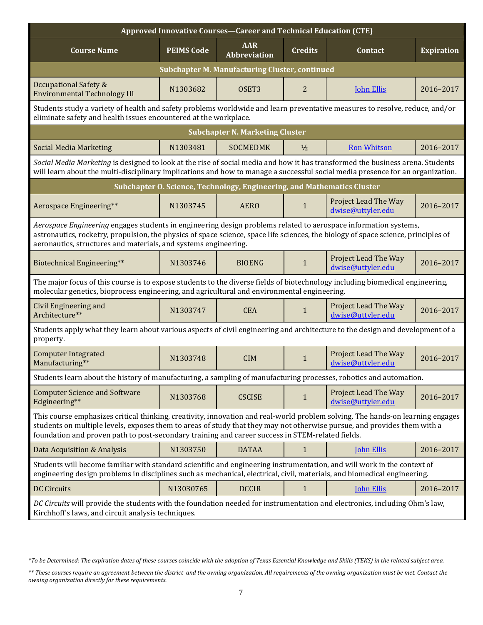| Approved Innovative Courses-Career and Technical Education (CTE)                                                                                                                                                                                                                                                                                               |                   |                                                                         |                |                                                  |                   |  |  |
|----------------------------------------------------------------------------------------------------------------------------------------------------------------------------------------------------------------------------------------------------------------------------------------------------------------------------------------------------------------|-------------------|-------------------------------------------------------------------------|----------------|--------------------------------------------------|-------------------|--|--|
| <b>Course Name</b>                                                                                                                                                                                                                                                                                                                                             | <b>PEIMS Code</b> | <b>AAR</b><br><b>Abbreviation</b>                                       | <b>Credits</b> | Contact                                          | <b>Expiration</b> |  |  |
| <b>Subchapter M. Manufacturing Cluster, continued</b>                                                                                                                                                                                                                                                                                                          |                   |                                                                         |                |                                                  |                   |  |  |
| Occupational Safety &<br><b>Environmental Technology III</b>                                                                                                                                                                                                                                                                                                   | N1303682          | OSET <sub>3</sub>                                                       | 2              | <b>John Ellis</b>                                | 2016-2017         |  |  |
| Students study a variety of health and safety problems worldwide and learn preventative measures to resolve, reduce, and/or<br>eliminate safety and health issues encountered at the workplace.                                                                                                                                                                |                   |                                                                         |                |                                                  |                   |  |  |
|                                                                                                                                                                                                                                                                                                                                                                |                   | <b>Subchapter N. Marketing Cluster</b>                                  |                |                                                  |                   |  |  |
| <b>Social Media Marketing</b>                                                                                                                                                                                                                                                                                                                                  | N1303481          | <b>SOCMEDMK</b>                                                         | $\frac{1}{2}$  | <b>Ron Whitson</b>                               | 2016-2017         |  |  |
| Social Media Marketing is designed to look at the rise of social media and how it has transformed the business arena. Students<br>will learn about the multi-disciplinary implications and how to manage a successful social media presence for an organization.                                                                                               |                   |                                                                         |                |                                                  |                   |  |  |
|                                                                                                                                                                                                                                                                                                                                                                |                   | Subchapter O. Science, Technology, Engineering, and Mathematics Cluster |                |                                                  |                   |  |  |
| Aerospace Engineering**                                                                                                                                                                                                                                                                                                                                        | N1303745          | <b>AERO</b>                                                             | 1              | <b>Project Lead The Way</b><br>dwise@uttyler.edu | 2016-2017         |  |  |
| Aerospace Engineering engages students in engineering design problems related to aerospace information systems,<br>astronautics, rocketry, propulsion, the physics of space science, space life sciences, the biology of space science, principles of<br>aeronautics, structures and materials, and systems engineering.                                       |                   |                                                                         |                |                                                  |                   |  |  |
| Biotechnical Engineering**                                                                                                                                                                                                                                                                                                                                     | N1303746          | <b>BIOENG</b>                                                           | $\mathbf{1}$   | Project Lead The Way<br>dwise@uttyler.edu        | 2016-2017         |  |  |
| The major focus of this course is to expose students to the diverse fields of biotechnology including biomedical engineering,<br>molecular genetics, bioprocess engineering, and agricultural and environmental engineering.                                                                                                                                   |                   |                                                                         |                |                                                  |                   |  |  |
| Civil Engineering and<br>Architecture**                                                                                                                                                                                                                                                                                                                        | N1303747          | <b>CEA</b>                                                              | $\mathbf{1}$   | Project Lead The Way<br>dwise@uttyler.edu        | 2016-2017         |  |  |
| Students apply what they learn about various aspects of civil engineering and architecture to the design and development of a<br>property.                                                                                                                                                                                                                     |                   |                                                                         |                |                                                  |                   |  |  |
| <b>Computer Integrated</b><br>Manufacturing**                                                                                                                                                                                                                                                                                                                  | N1303748          | <b>CIM</b>                                                              | $\mathbf{1}$   | Project Lead The Way<br>dwise@uttyler.edu        | 2016-2017         |  |  |
| Students learn about the history of manufacturing, a sampling of manufacturing processes, robotics and automation.                                                                                                                                                                                                                                             |                   |                                                                         |                |                                                  |                   |  |  |
| <b>Computer Science and Software</b><br>Edgineering**                                                                                                                                                                                                                                                                                                          | N1303768          | <b>CSCISE</b>                                                           | $\mathbf{1}$   | Project Lead The Way<br>dwise@uttyler.edu        | 2016-2017         |  |  |
| This course emphasizes critical thinking, creativity, innovation and real-world problem solving. The hands-on learning engages<br>students on multiple levels, exposes them to areas of study that they may not otherwise pursue, and provides them with a<br>foundation and proven path to post-secondary training and career success in STEM-related fields. |                   |                                                                         |                |                                                  |                   |  |  |
| Data Acquisition & Analysis                                                                                                                                                                                                                                                                                                                                    | N1303750          | <b>DATAA</b>                                                            | $\mathbf{1}$   | <b>John Ellis</b>                                | 2016-2017         |  |  |
| Students will become familiar with standard scientific and engineering instrumentation, and will work in the context of<br>engineering design problems in disciplines such as mechanical, electrical, civil, materials, and biomedical engineering.                                                                                                            |                   |                                                                         |                |                                                  |                   |  |  |
| <b>DC Circuits</b>                                                                                                                                                                                                                                                                                                                                             | N13030765         | <b>DCCIR</b>                                                            | $\mathbf{1}$   | <b>John Ellis</b>                                | 2016-2017         |  |  |
| DC Circuits will provide the students with the foundation needed for instrumentation and electronics, including Ohm's law,<br>Kirchhoff's laws, and circuit analysis techniques.                                                                                                                                                                               |                   |                                                                         |                |                                                  |                   |  |  |

*<sup>\*</sup>To be Determined: The expiration dates of these courses coincide with the adoption of Texas Essential Knowledge and Skills (TEKS) in the related subject area.*

*<sup>\*\*</sup> These courses require an agreement between the district and the owning organization. All requirements of the owning organization must be met. Contact the owning organization directly for these requirements.*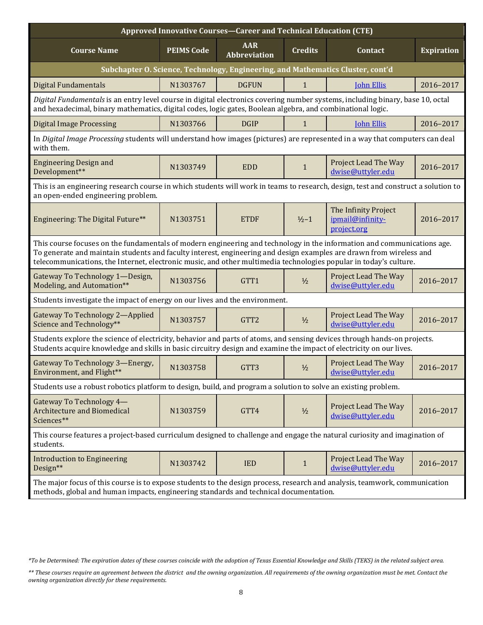| Approved Innovative Courses-Career and Technical Education (CTE)                                                                                                                                                                                                                                                                                                    |                                                                                     |                  |               |                                                         |           |  |  |  |  |
|---------------------------------------------------------------------------------------------------------------------------------------------------------------------------------------------------------------------------------------------------------------------------------------------------------------------------------------------------------------------|-------------------------------------------------------------------------------------|------------------|---------------|---------------------------------------------------------|-----------|--|--|--|--|
| <b>Course Name</b>                                                                                                                                                                                                                                                                                                                                                  | <b>AAR</b><br><b>PEIMS Code</b><br><b>Credits</b><br>Contact<br><b>Abbreviation</b> |                  |               |                                                         |           |  |  |  |  |
| Subchapter O. Science, Technology, Engineering, and Mathematics Cluster, cont'd                                                                                                                                                                                                                                                                                     |                                                                                     |                  |               |                                                         |           |  |  |  |  |
| <b>Digital Fundamentals</b>                                                                                                                                                                                                                                                                                                                                         | N1303767                                                                            | <b>DGFUN</b>     | $\mathbf{1}$  | <b>John Ellis</b>                                       | 2016-2017 |  |  |  |  |
| Digital Fundamentals is an entry level course in digital electronics covering number systems, including binary, base 10, octal<br>and hexadecimal, binary mathematics, digital codes, logic gates, Boolean algebra, and combinational logic.                                                                                                                        |                                                                                     |                  |               |                                                         |           |  |  |  |  |
| <b>Digital Image Processing</b>                                                                                                                                                                                                                                                                                                                                     | N1303766                                                                            | <b>DGIP</b>      | $\mathbf{1}$  | <b>John Ellis</b>                                       | 2016-2017 |  |  |  |  |
| In Digital Image Processing students will understand how images (pictures) are represented in a way that computers can deal<br>with them.                                                                                                                                                                                                                           |                                                                                     |                  |               |                                                         |           |  |  |  |  |
| <b>Engineering Design and</b><br>Development**                                                                                                                                                                                                                                                                                                                      | N1303749                                                                            | <b>EDD</b>       | $\mathbf{1}$  | Project Lead The Way<br>dwise@uttyler.edu               | 2016-2017 |  |  |  |  |
| This is an engineering research course in which students will work in teams to research, design, test and construct a solution to<br>an open-ended engineering problem.                                                                                                                                                                                             |                                                                                     |                  |               |                                                         |           |  |  |  |  |
| Engineering: The Digital Future**                                                                                                                                                                                                                                                                                                                                   | N1303751                                                                            | <b>ETDF</b>      | $1/2 - 1$     | The Infinity Project<br>ipmail@infinity-<br>project.org | 2016-2017 |  |  |  |  |
| This course focuses on the fundamentals of modern engineering and technology in the information and communications age.<br>To generate and maintain students and faculty interest, engineering and design examples are drawn from wireless and<br>telecommunications, the Internet, electronic music, and other multimedia technologies popular in today's culture. |                                                                                     |                  |               |                                                         |           |  |  |  |  |
| Gateway To Technology 1-Design,<br>Modeling, and Automation**                                                                                                                                                                                                                                                                                                       | N1303756                                                                            | GTT1             | $\frac{1}{2}$ | Project Lead The Way<br>dwise@uttyler.edu               | 2016-2017 |  |  |  |  |
| Students investigate the impact of energy on our lives and the environment.                                                                                                                                                                                                                                                                                         |                                                                                     |                  |               |                                                         |           |  |  |  |  |
| Gateway To Technology 2-Applied<br>Science and Technology**                                                                                                                                                                                                                                                                                                         | N1303757                                                                            | GTT <sub>2</sub> | $1/2$         | Project Lead The Way<br>dwise@uttyler.edu               | 2016-2017 |  |  |  |  |
| Students explore the science of electricity, behavior and parts of atoms, and sensing devices through hands-on projects.<br>Students acquire knowledge and skills in basic circuitry design and examine the impact of electricity on our lives.                                                                                                                     |                                                                                     |                  |               |                                                         |           |  |  |  |  |
| Gateway To Technology 3-Energy,<br>Environment, and Flight**                                                                                                                                                                                                                                                                                                        | N1303758                                                                            | GTT3             | $\frac{1}{2}$ | Project Lead The Way<br>dwise@uttyler.edu               | 2016-2017 |  |  |  |  |
| Students use a robust robotics platform to design, build, and program a solution to solve an existing problem.                                                                                                                                                                                                                                                      |                                                                                     |                  |               |                                                         |           |  |  |  |  |
| Gateway To Technology 4-<br><b>Architecture and Biomedical</b><br>Sciences**                                                                                                                                                                                                                                                                                        | N1303759                                                                            | GTT4             | $1/2$         | Project Lead The Way<br>dwise@uttyler.edu               | 2016-2017 |  |  |  |  |
| This course features a project-based curriculum designed to challenge and engage the natural curiosity and imagination of<br>students.                                                                                                                                                                                                                              |                                                                                     |                  |               |                                                         |           |  |  |  |  |
| <b>Introduction to Engineering</b><br>Design**                                                                                                                                                                                                                                                                                                                      | N1303742                                                                            | <b>IED</b>       | $\mathbf{1}$  | Project Lead The Way<br>dwise@uttyler.edu               | 2016-2017 |  |  |  |  |
| The major focus of this course is to expose students to the design process, research and analysis, teamwork, communication<br>methods, global and human impacts, engineering standards and technical documentation.                                                                                                                                                 |                                                                                     |                  |               |                                                         |           |  |  |  |  |

*<sup>\*</sup>To be Determined: The expiration dates of these courses coincide with the adoption of Texas Essential Knowledge and Skills (TEKS) in the related subject area.*

*<sup>\*\*</sup> These courses require an agreement between the district and the owning organization. All requirements of the owning organization must be met. Contact the owning organization directly for these requirements.*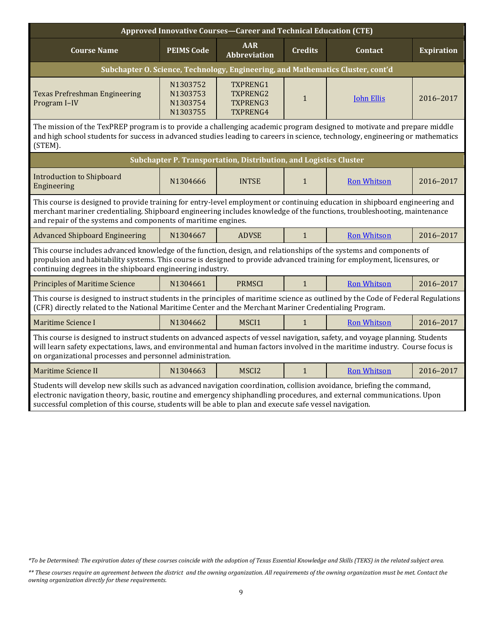| Approved Innovative Courses-Career and Technical Education (CTE)                                                                                                                                                                                                                                                                                          |                                              |                                                                   |                |                    |                   |  |  |  |
|-----------------------------------------------------------------------------------------------------------------------------------------------------------------------------------------------------------------------------------------------------------------------------------------------------------------------------------------------------------|----------------------------------------------|-------------------------------------------------------------------|----------------|--------------------|-------------------|--|--|--|
| <b>Course Name</b>                                                                                                                                                                                                                                                                                                                                        | <b>PEIMS Code</b>                            | <b>AAR</b><br><b>Abbreviation</b>                                 | <b>Credits</b> |                    | <b>Expiration</b> |  |  |  |
| Subchapter O. Science, Technology, Engineering, and Mathematics Cluster, cont'd                                                                                                                                                                                                                                                                           |                                              |                                                                   |                |                    |                   |  |  |  |
| <b>Texas Prefreshman Engineering</b><br>Program I-IV                                                                                                                                                                                                                                                                                                      | N1303752<br>N1303753<br>N1303754<br>N1303755 | TXPRENG1<br><b>TXPRENG2</b><br>TXPRENG3<br>TXPRENG4               | $\mathbf{1}$   |                    | 2016-2017         |  |  |  |
| The mission of the TexPREP program is to provide a challenging academic program designed to motivate and prepare middle<br>and high school students for success in advanced studies leading to careers in science, technology, engineering or mathematics<br>(STEM).                                                                                      |                                              |                                                                   |                |                    |                   |  |  |  |
|                                                                                                                                                                                                                                                                                                                                                           |                                              | Subchapter P. Transportation, Distribution, and Logistics Cluster |                |                    |                   |  |  |  |
| <b>Introduction to Shipboard</b><br>Engineering                                                                                                                                                                                                                                                                                                           | N1304666                                     | <b>INTSE</b>                                                      | $\mathbf{1}$   | <b>Ron Whitson</b> | 2016-2017         |  |  |  |
| This course is designed to provide training for entry-level employment or continuing education in shipboard engineering and<br>merchant mariner credentialing. Shipboard engineering includes knowledge of the functions, troubleshooting, maintenance<br>and repair of the systems and components of maritime engines.                                   |                                              |                                                                   |                |                    |                   |  |  |  |
| <b>Advanced Shipboard Engineering</b>                                                                                                                                                                                                                                                                                                                     | N1304667                                     | <b>ADVSE</b>                                                      | $\mathbf{1}$   | <b>Ron Whitson</b> | 2016-2017         |  |  |  |
| This course includes advanced knowledge of the function, design, and relationships of the systems and components of<br>propulsion and habitability systems. This course is designed to provide advanced training for employment, licensures, or<br>continuing degrees in the shipboard engineering industry.                                              |                                              |                                                                   |                |                    |                   |  |  |  |
| <b>Principles of Maritime Science</b>                                                                                                                                                                                                                                                                                                                     | N1304661                                     | <b>PRMSCI</b>                                                     | $\mathbf{1}$   | <b>Ron Whitson</b> | 2016-2017         |  |  |  |
| This course is designed to instruct students in the principles of maritime science as outlined by the Code of Federal Regulations<br>(CFR) directly related to the National Maritime Center and the Merchant Mariner Credentialing Program.                                                                                                               |                                              |                                                                   |                |                    |                   |  |  |  |
| Maritime Science I                                                                                                                                                                                                                                                                                                                                        | N1304662                                     | MSCI1                                                             | $\mathbf{1}$   | <b>Ron Whitson</b> | 2016-2017         |  |  |  |
| This course is designed to instruct students on advanced aspects of vessel navigation, safety, and voyage planning. Students<br>will learn safety expectations, laws, and environmental and human factors involved in the maritime industry. Course focus is<br>on organizational processes and personnel administration.                                 |                                              |                                                                   |                |                    |                   |  |  |  |
| <b>Maritime Science II</b>                                                                                                                                                                                                                                                                                                                                | N1304663                                     | MSCI2                                                             | $\mathbf{1}$   | <b>Ron Whitson</b> | 2016-2017         |  |  |  |
| Students will develop new skills such as advanced navigation coordination, collision avoidance, briefing the command,<br>electronic navigation theory, basic, routine and emergency shiphandling procedures, and external communications. Upon<br>successful completion of this course, students will be able to plan and execute safe vessel navigation. |                                              |                                                                   |                |                    |                   |  |  |  |

*<sup>\*</sup>To be Determined: The expiration dates of these courses coincide with the adoption of Texas Essential Knowledge and Skills (TEKS) in the related subject area.*

*<sup>\*\*</sup> These courses require an agreement between the district and the owning organization. All requirements of the owning organization must be met. Contact the owning organization directly for these requirements.*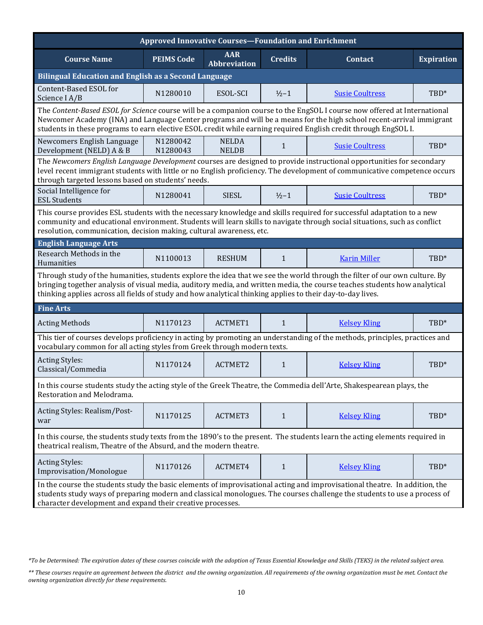| <b>Approved Innovative Courses-Foundation and Enrichment</b>                                                                                                                                                                                                                                                                                                        |                      |                                   |                |                                                                                                                                                                                                                                                         |                   |  |  |  |  |
|---------------------------------------------------------------------------------------------------------------------------------------------------------------------------------------------------------------------------------------------------------------------------------------------------------------------------------------------------------------------|----------------------|-----------------------------------|----------------|---------------------------------------------------------------------------------------------------------------------------------------------------------------------------------------------------------------------------------------------------------|-------------------|--|--|--|--|
| <b>Course Name</b>                                                                                                                                                                                                                                                                                                                                                  | <b>PEIMS Code</b>    | <b>AAR</b><br><b>Abbreviation</b> | <b>Credits</b> | Contact                                                                                                                                                                                                                                                 | <b>Expiration</b> |  |  |  |  |
| <b>Bilingual Education and English as a Second Language</b>                                                                                                                                                                                                                                                                                                         |                      |                                   |                |                                                                                                                                                                                                                                                         |                   |  |  |  |  |
| Content-Based ESOL for<br>Science I A/B                                                                                                                                                                                                                                                                                                                             | N1280010             | ESOL-SCI                          | $1/2 - 1$      | <b>Susie Coultress</b>                                                                                                                                                                                                                                  | TBD*              |  |  |  |  |
| The Content-Based ESOL for Science course will be a companion course to the EngSOL I course now offered at International<br>Newcomer Academy (INA) and Language Center programs and will be a means for the high school recent-arrival immigrant<br>students in these programs to earn elective ESOL credit while earning required English credit through EngSOL I. |                      |                                   |                |                                                                                                                                                                                                                                                         |                   |  |  |  |  |
| Newcomers English Language<br>Development (NELD) A & B                                                                                                                                                                                                                                                                                                              | N1280042<br>N1280043 | <b>NELDA</b><br><b>NELDB</b>      | $\mathbf{1}$   | <b>Susie Coultress</b>                                                                                                                                                                                                                                  | TBD*              |  |  |  |  |
| through targeted lessons based on students' needs.                                                                                                                                                                                                                                                                                                                  |                      |                                   |                | The Newcomers English Language Development courses are designed to provide instructional opportunities for secondary<br>level recent immigrant students with little or no English proficiency. The development of communicative competence occurs       |                   |  |  |  |  |
| Social Intelligence for<br><b>ESL Students</b>                                                                                                                                                                                                                                                                                                                      | N1280041             | <b>SIESL</b>                      | $1/2 - 1$      | <b>Susie Coultress</b>                                                                                                                                                                                                                                  | TBD*              |  |  |  |  |
| resolution, communication, decision making, cultural awareness, etc.                                                                                                                                                                                                                                                                                                |                      |                                   |                | This course provides ESL students with the necessary knowledge and skills required for successful adaptation to a new<br>community and educational environment. Students will learn skills to navigate through social situations, such as conflict      |                   |  |  |  |  |
| <b>English Language Arts</b>                                                                                                                                                                                                                                                                                                                                        |                      |                                   |                |                                                                                                                                                                                                                                                         |                   |  |  |  |  |
| Research Methods in the<br>Humanities                                                                                                                                                                                                                                                                                                                               | N1100013             | <b>RESHUM</b>                     | $\mathbf{1}$   | <b>Karin Miller</b>                                                                                                                                                                                                                                     | TBD*              |  |  |  |  |
| thinking applies across all fields of study and how analytical thinking applies to their day-to-day lives.                                                                                                                                                                                                                                                          |                      |                                   |                | Through study of the humanities, students explore the idea that we see the world through the filter of our own culture. By<br>bringing together analysis of visual media, auditory media, and written media, the course teaches students how analytical |                   |  |  |  |  |
| <b>Fine Arts</b>                                                                                                                                                                                                                                                                                                                                                    |                      |                                   |                |                                                                                                                                                                                                                                                         |                   |  |  |  |  |
| <b>Acting Methods</b>                                                                                                                                                                                                                                                                                                                                               | N1170123             | ACTMET1                           | $\mathbf{1}$   | <b>Kelsey Kling</b>                                                                                                                                                                                                                                     | TBD*              |  |  |  |  |
| vocabulary common for all acting styles from Greek through modern texts.                                                                                                                                                                                                                                                                                            |                      |                                   |                | This tier of courses develops proficiency in acting by promoting an understanding of the methods, principles, practices and                                                                                                                             |                   |  |  |  |  |
| <b>Acting Styles:</b><br>Classical/Commedia                                                                                                                                                                                                                                                                                                                         | N1170124             | <b>ACTMET2</b>                    | $\mathbf{1}$   | <b>Kelsey Kling</b>                                                                                                                                                                                                                                     | TBD*              |  |  |  |  |
| Restoration and Melodrama.                                                                                                                                                                                                                                                                                                                                          |                      |                                   |                | In this course students study the acting style of the Greek Theatre, the Commedia dell'Arte, Shakespearean plays, the                                                                                                                                   |                   |  |  |  |  |
| Acting Styles: Realism/Post-<br>war                                                                                                                                                                                                                                                                                                                                 | N1170125             | ACTMET3                           | $\mathbf{1}$   | <b>Kelsey Kling</b>                                                                                                                                                                                                                                     | TBD*              |  |  |  |  |
| theatrical realism, Theatre of the Absurd, and the modern theatre.                                                                                                                                                                                                                                                                                                  |                      |                                   |                | In this course, the students study texts from the 1890's to the present. The students learn the acting elements required in                                                                                                                             |                   |  |  |  |  |
| <b>Acting Styles:</b><br>Improvisation/Monologue                                                                                                                                                                                                                                                                                                                    | N1170126             | ACTMET4                           | $\mathbf{1}$   | <b>Kelsey Kling</b>                                                                                                                                                                                                                                     | TBD*              |  |  |  |  |
| character development and expand their creative processes.                                                                                                                                                                                                                                                                                                          |                      |                                   |                | In the course the students study the basic elements of improvisational acting and improvisational theatre. In addition, the<br>students study ways of preparing modern and classical monologues. The courses challenge the students to use a process of |                   |  |  |  |  |

*<sup>\*</sup>To be Determined: The expiration dates of these courses coincide with the adoption of Texas Essential Knowledge and Skills (TEKS) in the related subject area.*

*<sup>\*\*</sup> These courses require an agreement between the district and the owning organization. All requirements of the owning organization must be met. Contact the owning organization directly for these requirements.*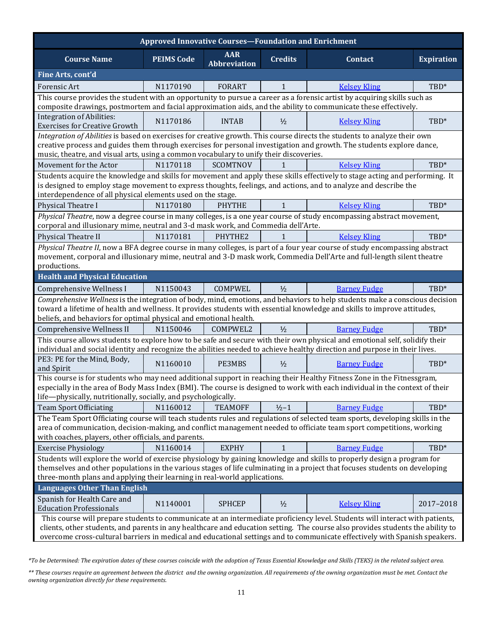| <b>Approved Innovative Courses-Foundation and Enrichment</b>                                                                                                                                                                                |                   |                                   |                |                                                                                                                                                                                                                                                                                                                                                                                              |                   |  |  |
|---------------------------------------------------------------------------------------------------------------------------------------------------------------------------------------------------------------------------------------------|-------------------|-----------------------------------|----------------|----------------------------------------------------------------------------------------------------------------------------------------------------------------------------------------------------------------------------------------------------------------------------------------------------------------------------------------------------------------------------------------------|-------------------|--|--|
| <b>Course Name</b>                                                                                                                                                                                                                          | <b>PEIMS Code</b> | <b>AAR</b><br><b>Abbreviation</b> | <b>Credits</b> | <b>Contact</b>                                                                                                                                                                                                                                                                                                                                                                               | <b>Expiration</b> |  |  |
| Fine Arts, cont'd                                                                                                                                                                                                                           |                   |                                   |                |                                                                                                                                                                                                                                                                                                                                                                                              |                   |  |  |
| Forensic Art                                                                                                                                                                                                                                | N1170190          | <b>FORART</b>                     | $\mathbf{1}$   | <b>Kelsey Kling</b>                                                                                                                                                                                                                                                                                                                                                                          | TBD*              |  |  |
| This course provides the student with an opportunity to pursue a career as a forensic artist by acquiring skills such as<br>composite drawings, postmortem and facial approximation aids, and the ability to communicate these effectively. |                   |                                   |                |                                                                                                                                                                                                                                                                                                                                                                                              |                   |  |  |
| <b>Integration of Abilities:</b><br><b>Exercises for Creative Growth</b>                                                                                                                                                                    | N1170186          | <b>INTAB</b>                      | $\frac{1}{2}$  | <b>Kelsey Kling</b>                                                                                                                                                                                                                                                                                                                                                                          | TBD*              |  |  |
| music, theatre, and visual arts, using a common vocabulary to unify their discoveries.                                                                                                                                                      |                   |                                   |                | Integration of Abilities is based on exercises for creative growth. This course directs the students to analyze their own<br>creative process and guides them through exercises for personal investigation and growth. The students explore dance,                                                                                                                                           |                   |  |  |
| Movement for the Actor                                                                                                                                                                                                                      | N1170118          | <b>SCOMTNOV</b>                   | 1              | <b>Kelsey Kling</b>                                                                                                                                                                                                                                                                                                                                                                          | TBD*              |  |  |
| is designed to employ stage movement to express thoughts, feelings, and actions, and to analyze and describe the<br>interdependence of all physical elements used on the stage.                                                             |                   |                                   |                | Students acquire the knowledge and skills for movement and apply these skills effectively to stage acting and performing. It                                                                                                                                                                                                                                                                 |                   |  |  |
| Physical Theatre I                                                                                                                                                                                                                          | N1170180          | <b>PHYTHE</b>                     | $\mathbf{1}$   | <b>Kelsey Kling</b>                                                                                                                                                                                                                                                                                                                                                                          | TBD*              |  |  |
| corporal and illusionary mime, neutral and 3-d mask work, and Commedia dell'Arte.                                                                                                                                                           |                   |                                   |                | Physical Theatre, now a degree course in many colleges, is a one year course of study encompassing abstract movement,                                                                                                                                                                                                                                                                        |                   |  |  |
| Physical Theatre II                                                                                                                                                                                                                         | N1170181          | PHYTHE2                           |                | <b>Kelsey Kling</b>                                                                                                                                                                                                                                                                                                                                                                          | TBD*              |  |  |
| movement, corporal and illusionary mime, neutral and 3-D mask work, Commedia Dell'Arte and full-length silent theatre<br>productions.                                                                                                       |                   |                                   |                | Physical Theatre II, now a BFA degree course in many colleges, is part of a four year course of study encompassing abstract                                                                                                                                                                                                                                                                  |                   |  |  |
| <b>Health and Physical Education</b>                                                                                                                                                                                                        |                   |                                   |                |                                                                                                                                                                                                                                                                                                                                                                                              |                   |  |  |
| <b>Comprehensive Wellness I</b>                                                                                                                                                                                                             | N1150043          | COMPWEL                           | $\frac{1}{2}$  | <b>Barney Fudge</b>                                                                                                                                                                                                                                                                                                                                                                          | TBD*              |  |  |
| toward a lifetime of health and wellness. It provides students with essential knowledge and skills to improve attitudes,<br>beliefs, and behaviors for optimal physical and emotional health.                                               |                   |                                   |                | Comprehensive Wellness is the integration of body, mind, emotions, and behaviors to help students make a conscious decision                                                                                                                                                                                                                                                                  |                   |  |  |
| Comprehensive Wellness II                                                                                                                                                                                                                   | N1150046          | COMPWEL2                          | $1/2$          | <b>Barney Fudge</b>                                                                                                                                                                                                                                                                                                                                                                          | TBD*              |  |  |
| individual and social identity and recognize the abilities needed to achieve healthy direction and purpose in their lives.                                                                                                                  |                   |                                   |                | This course allows students to explore how to be safe and secure with their own physical and emotional self, solidify their                                                                                                                                                                                                                                                                  |                   |  |  |
| PE3: PE for the Mind, Body,<br>and Spirit                                                                                                                                                                                                   | N1160010          | PE3MBS                            | $\frac{1}{2}$  | <b>Barney Fudge</b>                                                                                                                                                                                                                                                                                                                                                                          | TBD*              |  |  |
| life-physically, nutritionally, socially, and psychologically.                                                                                                                                                                              |                   |                                   |                | This course is for students who may need additional support in reaching their Healthy Fitness Zone in the Fitnessgram,<br>especially in the area of Body Mass Index (BMI). The course is designed to work with each individual in the context of their                                                                                                                                       |                   |  |  |
| <b>Team Sport Officiating</b>                                                                                                                                                                                                               | N1160012          | <b>TEAMOFF</b>                    | $1/2 - 1$      | <b>Barney Fudge</b>                                                                                                                                                                                                                                                                                                                                                                          | TBD*              |  |  |
| with coaches, players, other officials, and parents.                                                                                                                                                                                        |                   |                                   |                | The Team Sport Officiating course will teach students rules and regulations of selected team sports, developing skills in the<br>area of communication, decision-making, and conflict management needed to officiate team sport competitions, working                                                                                                                                        |                   |  |  |
| <b>Exercise Physiology</b>                                                                                                                                                                                                                  | N1160014          | <b>EXPHY</b>                      | $\mathbf{1}$   | <b>Barney Fudge</b>                                                                                                                                                                                                                                                                                                                                                                          | $TBD^*$           |  |  |
| themselves and other populations in the various stages of life culminating in a project that focuses students on developing<br>three-month plans and applying their learning in real-world applications.                                    |                   |                                   |                | Students will explore the world of exercise physiology by gaining knowledge and skills to properly design a program for                                                                                                                                                                                                                                                                      |                   |  |  |
| <b>Languages Other Than English</b>                                                                                                                                                                                                         |                   |                                   |                |                                                                                                                                                                                                                                                                                                                                                                                              |                   |  |  |
| Spanish for Health Care and<br><b>Education Professionals</b>                                                                                                                                                                               | N1140001          | <b>SPHCEP</b>                     | $1/2$          | <b>Kelsey Kling</b>                                                                                                                                                                                                                                                                                                                                                                          | 2017-2018         |  |  |
|                                                                                                                                                                                                                                             |                   |                                   |                | This course will prepare students to communicate at an intermediate proficiency level. Students will interact with patients,<br>clients, other students, and parents in any healthcare and education setting. The course also provides students the ability to<br>overcome cross-cultural barriers in medical and educational settings and to communicate effectively with Spanish speakers. |                   |  |  |

*<sup>\*</sup>To be Determined: The expiration dates of these courses coincide with the adoption of Texas Essential Knowledge and Skills (TEKS) in the related subject area.*

*<sup>\*\*</sup> These courses require an agreement between the district and the owning organization. All requirements of the owning organization must be met. Contact the owning organization directly for these requirements.*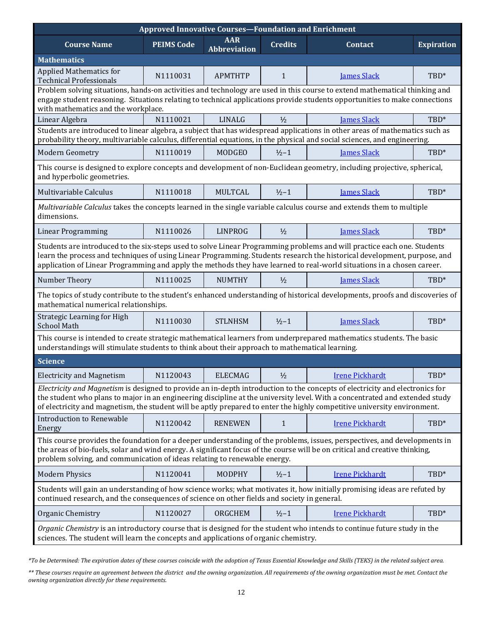| <b>Approved Innovative Courses-Foundation and Enrichment</b>                                                                                                                                                                                                                                    |                   |                                   |                |                                                                                                                                                                                                                                                                                                                                                                                         |                   |  |  |
|-------------------------------------------------------------------------------------------------------------------------------------------------------------------------------------------------------------------------------------------------------------------------------------------------|-------------------|-----------------------------------|----------------|-----------------------------------------------------------------------------------------------------------------------------------------------------------------------------------------------------------------------------------------------------------------------------------------------------------------------------------------------------------------------------------------|-------------------|--|--|
| <b>Course Name</b>                                                                                                                                                                                                                                                                              | <b>PEIMS Code</b> | <b>AAR</b><br><b>Abbreviation</b> | <b>Credits</b> | Contact                                                                                                                                                                                                                                                                                                                                                                                 | <b>Expiration</b> |  |  |
| <b>Mathematics</b>                                                                                                                                                                                                                                                                              |                   |                                   |                |                                                                                                                                                                                                                                                                                                                                                                                         |                   |  |  |
| <b>Applied Mathematics for</b><br><b>Technical Professionals</b>                                                                                                                                                                                                                                | N1110031          | <b>APMTHTP</b>                    | $\mathbf{1}$   | <b>James Slack</b>                                                                                                                                                                                                                                                                                                                                                                      | TBD*              |  |  |
| Problem solving situations, hands-on activities and technology are used in this course to extend mathematical thinking and<br>engage student reasoning. Situations relating to technical applications provide students opportunities to make connections<br>with mathematics and the workplace. |                   |                                   |                |                                                                                                                                                                                                                                                                                                                                                                                         |                   |  |  |
| Linear Algebra                                                                                                                                                                                                                                                                                  | N1110021          | <b>LINALG</b>                     | $\frac{1}{2}$  | <b>James Slack</b>                                                                                                                                                                                                                                                                                                                                                                      | TBD*              |  |  |
| Students are introduced to linear algebra, a subject that has widespread applications in other areas of mathematics such as<br>probability theory, multivariable calculus, differential equations, in the physical and social sciences, and engineering.                                        |                   |                                   |                |                                                                                                                                                                                                                                                                                                                                                                                         |                   |  |  |
| Modern Geometry                                                                                                                                                                                                                                                                                 | N1110019          | MODGEO                            | $1/2 - 1$      | <b>James Slack</b>                                                                                                                                                                                                                                                                                                                                                                      | TBD*              |  |  |
| and hyperbolic geometries.                                                                                                                                                                                                                                                                      |                   |                                   |                | This course is designed to explore concepts and development of non-Euclidean geometry, including projective, spherical,                                                                                                                                                                                                                                                                 |                   |  |  |
| Multivariable Calculus                                                                                                                                                                                                                                                                          | N1110018          | <b>MULTCAL</b>                    | $1/2 - 1$      | <b>James Slack</b>                                                                                                                                                                                                                                                                                                                                                                      | TBD*              |  |  |
| dimensions.                                                                                                                                                                                                                                                                                     |                   |                                   |                | Multivariable Calculus takes the concepts learned in the single variable calculus course and extends them to multiple                                                                                                                                                                                                                                                                   |                   |  |  |
| <b>Linear Programming</b>                                                                                                                                                                                                                                                                       | N1110026          | <b>LINPROG</b>                    | $\frac{1}{2}$  | <b>James Slack</b>                                                                                                                                                                                                                                                                                                                                                                      | TBD*              |  |  |
|                                                                                                                                                                                                                                                                                                 |                   |                                   |                | Students are introduced to the six-steps used to solve Linear Programming problems and will practice each one. Students<br>learn the process and techniques of using Linear Programming. Students research the historical development, purpose, and<br>application of Linear Programming and apply the methods they have learned to real-world situations in a chosen career.           |                   |  |  |
| Number Theory                                                                                                                                                                                                                                                                                   | N1110025          | <b>NUMTHY</b>                     | $\frac{1}{2}$  | <b>James Slack</b>                                                                                                                                                                                                                                                                                                                                                                      | TBD*              |  |  |
| mathematical numerical relationships.                                                                                                                                                                                                                                                           |                   |                                   |                | The topics of study contribute to the student's enhanced understanding of historical developments, proofs and discoveries of                                                                                                                                                                                                                                                            |                   |  |  |
| Strategic Learning for High<br><b>School Math</b>                                                                                                                                                                                                                                               | N1110030          | <b>STLNHSM</b>                    | $1/2 - 1$      | <b>James Slack</b>                                                                                                                                                                                                                                                                                                                                                                      | TBD*              |  |  |
| understandings will stimulate students to think about their approach to mathematical learning.                                                                                                                                                                                                  |                   |                                   |                | This course is intended to create strategic mathematical learners from underprepared mathematics students. The basic                                                                                                                                                                                                                                                                    |                   |  |  |
| <b>Science</b>                                                                                                                                                                                                                                                                                  |                   |                                   |                |                                                                                                                                                                                                                                                                                                                                                                                         |                   |  |  |
| <b>Electricity and Magnetism</b>                                                                                                                                                                                                                                                                | N1120043          | <b>ELECMAG</b>                    | $\frac{1}{2}$  | <b>Irene Pickhardt</b>                                                                                                                                                                                                                                                                                                                                                                  | TBD*              |  |  |
|                                                                                                                                                                                                                                                                                                 |                   |                                   |                | Electricity and Magnetism is designed to provide an in-depth introduction to the concepts of electricity and electronics for<br>the student who plans to major in an engineering discipline at the university level. With a concentrated and extended study<br>of electricity and magnetism, the student will be aptly prepared to enter the highly competitive university environment. |                   |  |  |
| <b>Introduction to Renewable</b><br>Energy                                                                                                                                                                                                                                                      | N1120042          | <b>RENEWEN</b>                    | $\mathbf{1}$   | <b>Irene Pickhardt</b>                                                                                                                                                                                                                                                                                                                                                                  | TBD*              |  |  |
| problem solving, and communication of ideas relating to renewable energy.                                                                                                                                                                                                                       |                   |                                   |                | This course provides the foundation for a deeper understanding of the problems, issues, perspectives, and developments in<br>the areas of bio-fuels, solar and wind energy. A significant focus of the course will be on critical and creative thinking,                                                                                                                                |                   |  |  |
| <b>Modern Physics</b>                                                                                                                                                                                                                                                                           | N1120041          | MODPHY                            | $1/2 - 1$      | <b>Irene Pickhardt</b>                                                                                                                                                                                                                                                                                                                                                                  | TBD*              |  |  |
| continued research, and the consequences of science on other fields and society in general.                                                                                                                                                                                                     |                   |                                   |                | Students will gain an understanding of how science works; what motivates it, how initially promising ideas are refuted by                                                                                                                                                                                                                                                               |                   |  |  |
| Organic Chemistry                                                                                                                                                                                                                                                                               | N1120027          | ORGCHEM                           | $1/2 - 1$      | <b>Irene Pickhardt</b>                                                                                                                                                                                                                                                                                                                                                                  | TBD*              |  |  |
| sciences. The student will learn the concepts and applications of organic chemistry.                                                                                                                                                                                                            |                   |                                   |                | Organic Chemistry is an introductory course that is designed for the student who intends to continue future study in the                                                                                                                                                                                                                                                                |                   |  |  |

*\*To be Determined: The expiration dates of these courses coincide with the adoption of Texas Essential Knowledge and Skills (TEKS) in the related subject area.*

*\*\* These courses require an agreement between the district and the owning organization. All requirements of the owning organization must be met. Contact the owning organization directly for these requirements.*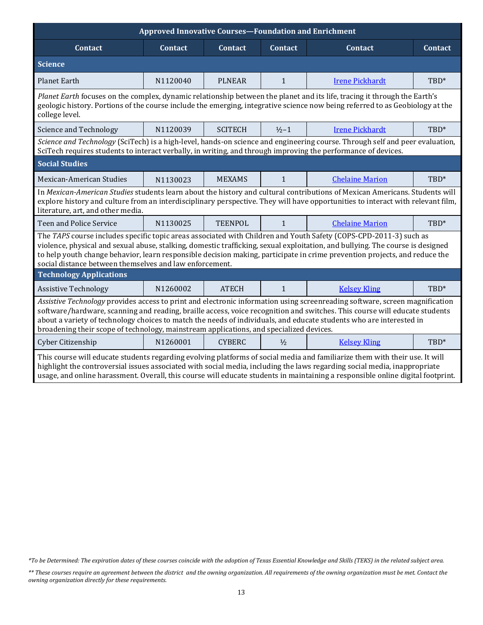| <b>Approved Innovative Courses-Foundation and Enrichment</b>                                                                                                                                                                                                                                                                                                                                                                                                                |                                                                   |                |                |                        |                |  |  |
|-----------------------------------------------------------------------------------------------------------------------------------------------------------------------------------------------------------------------------------------------------------------------------------------------------------------------------------------------------------------------------------------------------------------------------------------------------------------------------|-------------------------------------------------------------------|----------------|----------------|------------------------|----------------|--|--|
| <b>Contact</b>                                                                                                                                                                                                                                                                                                                                                                                                                                                              | <b>Contact</b>                                                    | <b>Contact</b> | <b>Contact</b> | <b>Contact</b>         | <b>Contact</b> |  |  |
| <b>Science</b>                                                                                                                                                                                                                                                                                                                                                                                                                                                              |                                                                   |                |                |                        |                |  |  |
| <b>Planet Earth</b>                                                                                                                                                                                                                                                                                                                                                                                                                                                         | N1120040                                                          | <b>PLNEAR</b>  | $\mathbf{1}$   | <b>Irene Pickhardt</b> | TBD*           |  |  |
| Planet Earth focuses on the complex, dynamic relationship between the planet and its life, tracing it through the Earth's<br>geologic history. Portions of the course include the emerging, integrative science now being referred to as Geobiology at the<br>college level.                                                                                                                                                                                                |                                                                   |                |                |                        |                |  |  |
| Science and Technology                                                                                                                                                                                                                                                                                                                                                                                                                                                      | N1120039                                                          | <b>SCITECH</b> | $1/2 - 1$      | <b>Irene Pickhardt</b> | TBD*           |  |  |
| Science and Technology (SciTech) is a high-level, hands-on science and engineering course. Through self and peer evaluation,<br>SciTech requires students to interact verbally, in writing, and through improving the performance of devices.                                                                                                                                                                                                                               |                                                                   |                |                |                        |                |  |  |
| <b>Social Studies</b>                                                                                                                                                                                                                                                                                                                                                                                                                                                       |                                                                   |                |                |                        |                |  |  |
| Mexican-American Studies                                                                                                                                                                                                                                                                                                                                                                                                                                                    | N1130023                                                          | <b>MEXAMS</b>  | $\mathbf{1}$   | <b>Chelaine Marion</b> | TBD*           |  |  |
| In Mexican-American Studies students learn about the history and cultural contributions of Mexican Americans. Students will<br>explore history and culture from an interdisciplinary perspective. They will have opportunities to interact with relevant film,<br>literature, art, and other media.                                                                                                                                                                         |                                                                   |                |                |                        |                |  |  |
| <b>Teen and Police Service</b>                                                                                                                                                                                                                                                                                                                                                                                                                                              | <b>TEENPOL</b><br>TBD*<br>N1130025<br>1<br><b>Chelaine Marion</b> |                |                |                        |                |  |  |
| The TAPS course includes specific topic areas associated with Children and Youth Safety (COPS-CPD-2011-3) such as<br>violence, physical and sexual abuse, stalking, domestic trafficking, sexual exploitation, and bullying. The course is designed<br>to help youth change behavior, learn responsible decision making, participate in crime prevention projects, and reduce the<br>social distance between themselves and law enforcement.                                |                                                                   |                |                |                        |                |  |  |
| <b>Technology Applications</b>                                                                                                                                                                                                                                                                                                                                                                                                                                              |                                                                   |                |                |                        |                |  |  |
| <b>Assistive Technology</b>                                                                                                                                                                                                                                                                                                                                                                                                                                                 | N1260002                                                          | <b>ATECH</b>   | $\mathbf{1}$   | <b>Kelsey Kling</b>    | TBD*           |  |  |
| Assistive Technology provides access to print and electronic information using screenreading software, screen magnification<br>software/hardware, scanning and reading, braille access, voice recognition and switches. This course will educate students<br>about a variety of technology choices to match the needs of individuals, and educate students who are interested in<br>broadening their scope of technology, mainstream applications, and specialized devices. |                                                                   |                |                |                        |                |  |  |
| Cyber Citizenship                                                                                                                                                                                                                                                                                                                                                                                                                                                           | N1260001                                                          | <b>CYBERC</b>  | $\frac{1}{2}$  | <b>Kelsey Kling</b>    | TBD*           |  |  |
| This course will educate students regarding evolving platforms of social media and familiarize them with their use. It will<br>highlight the controversial issues associated with social media, including the laws regarding social media, inappropriate<br>usage, and online harassment. Overall, this course will educate students in maintaining a responsible online digital footprint.                                                                                 |                                                                   |                |                |                        |                |  |  |

*<sup>\*</sup>To be Determined: The expiration dates of these courses coincide with the adoption of Texas Essential Knowledge and Skills (TEKS) in the related subject area.*

*<sup>\*\*</sup> These courses require an agreement between the district and the owning organization. All requirements of the owning organization must be met. Contact the owning organization directly for these requirements.*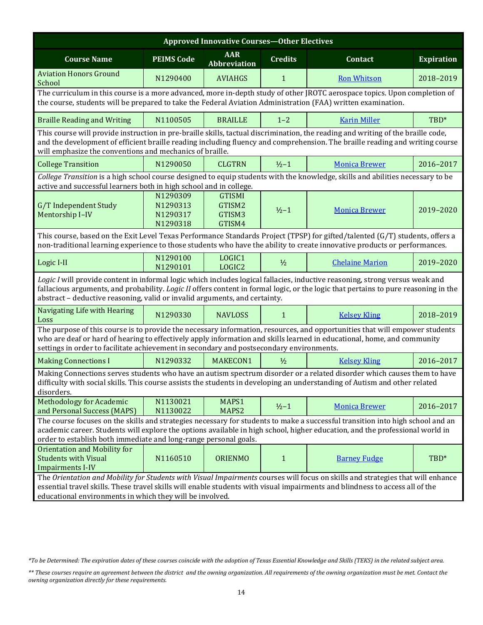| <b>Approved Innovative Courses-Other Electives</b>                                                                                                                                                                                                                                                                                                 |                                                                                                                                                                                                                                                                                                                              |                                             |                |                                                                                                                                |                   |  |  |  |
|----------------------------------------------------------------------------------------------------------------------------------------------------------------------------------------------------------------------------------------------------------------------------------------------------------------------------------------------------|------------------------------------------------------------------------------------------------------------------------------------------------------------------------------------------------------------------------------------------------------------------------------------------------------------------------------|---------------------------------------------|----------------|--------------------------------------------------------------------------------------------------------------------------------|-------------------|--|--|--|
| <b>Course Name</b>                                                                                                                                                                                                                                                                                                                                 | <b>PEIMS Code</b>                                                                                                                                                                                                                                                                                                            | <b>AAR</b><br>Abbreviation                  | <b>Credits</b> | <b>Contact</b>                                                                                                                 | <b>Expiration</b> |  |  |  |
| <b>Aviation Honors Ground</b><br>School                                                                                                                                                                                                                                                                                                            | N1290400                                                                                                                                                                                                                                                                                                                     | <b>AVIAHGS</b>                              | $\mathbf{1}$   | <b>Ron Whitson</b>                                                                                                             | 2018-2019         |  |  |  |
|                                                                                                                                                                                                                                                                                                                                                    | The curriculum in this course is a more advanced, more in-depth study of other JROTC aerospace topics. Upon completion of<br>the course, students will be prepared to take the Federal Aviation Administration (FAA) written examination.                                                                                    |                                             |                |                                                                                                                                |                   |  |  |  |
| <b>Braille Reading and Writing</b>                                                                                                                                                                                                                                                                                                                 | N1100505                                                                                                                                                                                                                                                                                                                     | <b>BRAILLE</b>                              | $1 - 2$        | <b>Karin Miller</b>                                                                                                            | TBD*              |  |  |  |
|                                                                                                                                                                                                                                                                                                                                                    | This course will provide instruction in pre-braille skills, tactual discrimination, the reading and writing of the braille code,<br>and the development of efficient braille reading including fluency and comprehension. The braille reading and writing course<br>will emphasize the conventions and mechanics of braille. |                                             |                |                                                                                                                                |                   |  |  |  |
| <b>College Transition</b>                                                                                                                                                                                                                                                                                                                          | N1290050                                                                                                                                                                                                                                                                                                                     | <b>CLGTRN</b>                               | $1/2 - 1$      | <b>Monica Brewer</b>                                                                                                           | 2016-2017         |  |  |  |
| active and successful learners both in high school and in college.                                                                                                                                                                                                                                                                                 |                                                                                                                                                                                                                                                                                                                              |                                             |                | College Transition is a high school course designed to equip students with the knowledge, skills and abilities necessary to be |                   |  |  |  |
| G/T Independent Study<br>Mentorship I-IV                                                                                                                                                                                                                                                                                                           | N1290309<br>N1290313<br>N1290317<br>N1290318                                                                                                                                                                                                                                                                                 | <b>GTISMI</b><br>GTISM2<br>GTISM3<br>GTISM4 | $1/2 - 1$      | <b>Monica Brewer</b>                                                                                                           | 2019-2020         |  |  |  |
| This course, based on the Exit Level Texas Performance Standards Project (TPSP) for gifted/talented (G/T) students, offers a<br>non-traditional learning experience to those students who have the ability to create innovative products or performances.                                                                                          |                                                                                                                                                                                                                                                                                                                              |                                             |                |                                                                                                                                |                   |  |  |  |
| Logic I-II                                                                                                                                                                                                                                                                                                                                         | N1290100<br>N1290101                                                                                                                                                                                                                                                                                                         | LOGIC1<br>LOGIC2                            | $\frac{1}{2}$  | <b>Chelaine Marion</b>                                                                                                         | 2019-2020         |  |  |  |
| Logic I will provide content in informal logic which includes logical fallacies, inductive reasoning, strong versus weak and<br>fallacious arguments, and probability. Logic II offers content in formal logic, or the logic that pertains to pure reasoning in the<br>abstract - deductive reasoning, valid or invalid arguments, and certainty.  |                                                                                                                                                                                                                                                                                                                              |                                             |                |                                                                                                                                |                   |  |  |  |
| <b>Navigating Life with Hearing</b><br>Loss                                                                                                                                                                                                                                                                                                        | N1290330                                                                                                                                                                                                                                                                                                                     | <b>NAVLOSS</b>                              | $\mathbf{1}$   | <b>Kelsey Kling</b>                                                                                                            | 2018-2019         |  |  |  |
| The purpose of this course is to provide the necessary information, resources, and opportunities that will empower students<br>who are deaf or hard of hearing to effectively apply information and skills learned in educational, home, and community<br>settings in order to facilitate achievement in secondary and postsecondary environments. |                                                                                                                                                                                                                                                                                                                              |                                             |                |                                                                                                                                |                   |  |  |  |
| <b>Making Connections I</b>                                                                                                                                                                                                                                                                                                                        | N1290332                                                                                                                                                                                                                                                                                                                     | MAKECON1                                    | $\frac{1}{2}$  | <b>Kelsey Kling</b>                                                                                                            | 2016-2017         |  |  |  |
| Making Connections serves students who have an autism spectrum disorder or a related disorder which causes them to have<br>difficulty with social skills. This course assists the students in developing an understanding of Autism and other related<br>disorders.                                                                                |                                                                                                                                                                                                                                                                                                                              |                                             |                |                                                                                                                                |                   |  |  |  |
| <b>Methodology for Academic</b><br>and Personal Success (MAPS)                                                                                                                                                                                                                                                                                     | N1130021<br>N1130022                                                                                                                                                                                                                                                                                                         | MAPS1<br>MAPS2                              | $1/2 - 1$      | <b>Monica Brewer</b>                                                                                                           | 2016-2017         |  |  |  |
| The course focuses on the skills and strategies necessary for students to make a successful transition into high school and an<br>academic career. Students will explore the options available in high school, higher education, and the professional world in<br>order to establish both immediate and long-range personal goals.                 |                                                                                                                                                                                                                                                                                                                              |                                             |                |                                                                                                                                |                   |  |  |  |
| <b>Orientation and Mobility for</b><br><b>Students with Visual</b><br><b>Impairments I-IV</b>                                                                                                                                                                                                                                                      | N1160510                                                                                                                                                                                                                                                                                                                     | <b>ORIENMO</b>                              | $\mathbf{1}$   | <b>Barney Fudge</b>                                                                                                            | TBD*              |  |  |  |
| The Orientation and Mobility for Students with Visual Impairments courses will focus on skills and strategies that will enhance<br>essential travel skills. These travel skills will enable students with visual impairments and blindness to access all of the<br>educational environments in which they will be involved.                        |                                                                                                                                                                                                                                                                                                                              |                                             |                |                                                                                                                                |                   |  |  |  |

*<sup>\*</sup>To be Determined: The expiration dates of these courses coincide with the adoption of Texas Essential Knowledge and Skills (TEKS) in the related subject area.*

*<sup>\*\*</sup> These courses require an agreement between the district and the owning organization. All requirements of the owning organization must be met. Contact the owning organization directly for these requirements.*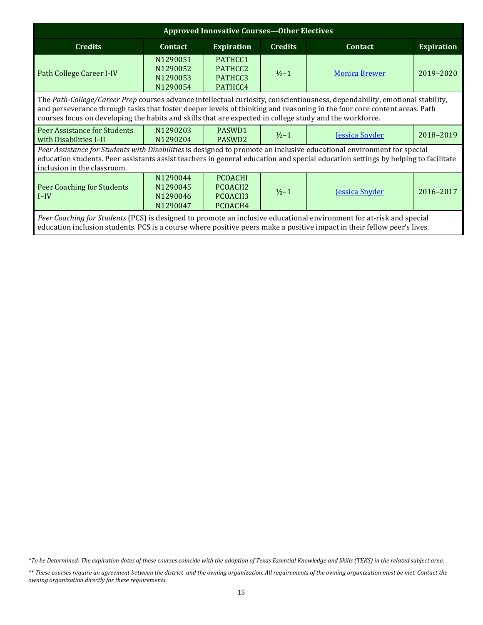| <b>Approved Innovative Courses-Other Electives</b>                                                                                                                                                                                                                                                                                                                |                                              |                                                                         |                                           |                       |                   |  |
|-------------------------------------------------------------------------------------------------------------------------------------------------------------------------------------------------------------------------------------------------------------------------------------------------------------------------------------------------------------------|----------------------------------------------|-------------------------------------------------------------------------|-------------------------------------------|-----------------------|-------------------|--|
| <b>Credits</b>                                                                                                                                                                                                                                                                                                                                                    | Contact                                      | <b>Expiration</b>                                                       | <b>Credits</b>                            | Contact               | <b>Expiration</b> |  |
| Path College Career I-IV                                                                                                                                                                                                                                                                                                                                          | N1290051<br>N1290052<br>N1290053<br>N1290054 | PATHCC1<br>PATHCC2<br>PATHCC3<br>PATHCC4                                | <b>Monica Brewer</b><br>$\frac{1}{2} - 1$ |                       | 2019-2020         |  |
| The Path-College/Career Prep courses advance intellectual curiosity, conscientiousness, dependability, emotional stability,<br>and perseverance through tasks that foster deeper levels of thinking and reasoning in the four core content areas. Path<br>courses focus on developing the habits and skills that are expected in college study and the workforce. |                                              |                                                                         |                                           |                       |                   |  |
| Peer Assistance for Students<br>with Disabilities I-II                                                                                                                                                                                                                                                                                                            | N1290203<br>N1290204                         | PASWD1<br>PASWD <sub>2</sub>                                            | $\frac{1}{2} - 1$                         | <b>Jessica Snyder</b> | 2018-2019         |  |
| Peer Assistance for Students with Disabilities is designed to promote an inclusive educational environment for special<br>education students. Peer assistants assist teachers in general education and special education settings by helping to facilitate<br>inclusion in the classroom.                                                                         |                                              |                                                                         |                                           |                       |                   |  |
| <b>Peer Coaching for Students</b><br>$I-IV$                                                                                                                                                                                                                                                                                                                       | N1290044<br>N1290045<br>N1290046<br>N1290047 | <b>PCOACHI</b><br>PCOACH <sub>2</sub><br>PCOACH <sub>3</sub><br>PCOACH4 | $\frac{1}{2} - 1$                         | <b>Jessica Snyder</b> | 2016-2017         |  |
| Peer Coaching for Students (PCS) is designed to promote an inclusive educational environment for at-risk and special<br>education inclusion students. PCS is a course where positive peers make a positive impact in their fellow peer's lives.                                                                                                                   |                                              |                                                                         |                                           |                       |                   |  |

*\*To be Determined: The expiration dates of these courses coincide with the adoption of Texas Essential Knowledge and Skills (TEKS) in the related subject area.*

*<sup>\*\*</sup> These courses require an agreement between the district and the owning organization. All requirements of the owning organization must be met. Contact the owning organization directly for these requirements.*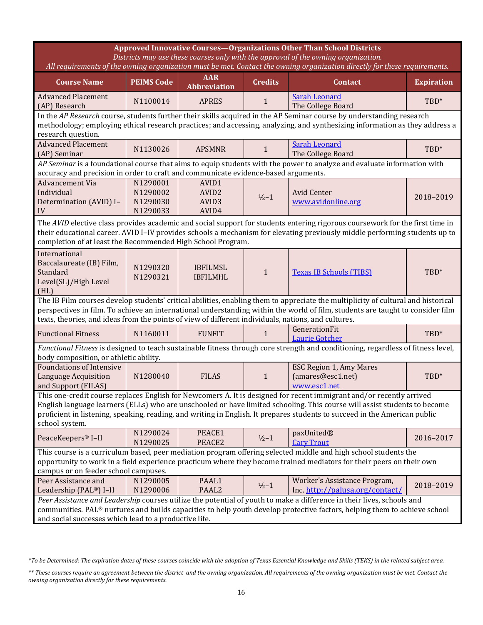| <b>Approved Innovative Courses-Organizations Other Than School Districts</b><br>Districts may use these courses only with the approval of the owning organization.<br>All requirements of the owning organization must be met. Contact the owning organization directly for these requirements.                                                                                                   |                                                                                                                                                                                                                                                                                                                           |                                                          |                |                                                                                                                         |                   |  |  |
|---------------------------------------------------------------------------------------------------------------------------------------------------------------------------------------------------------------------------------------------------------------------------------------------------------------------------------------------------------------------------------------------------|---------------------------------------------------------------------------------------------------------------------------------------------------------------------------------------------------------------------------------------------------------------------------------------------------------------------------|----------------------------------------------------------|----------------|-------------------------------------------------------------------------------------------------------------------------|-------------------|--|--|
| <b>Course Name</b>                                                                                                                                                                                                                                                                                                                                                                                | <b>PEIMS Code</b>                                                                                                                                                                                                                                                                                                         | <b>AAR</b><br><b>Abbreviation</b>                        | <b>Credits</b> | <b>Contact</b>                                                                                                          | <b>Expiration</b> |  |  |
| <b>Advanced Placement</b><br>(AP) Research                                                                                                                                                                                                                                                                                                                                                        | N1100014                                                                                                                                                                                                                                                                                                                  | <b>APRES</b>                                             | $\mathbf{1}$   | <b>Sarah Leonard</b><br>The College Board                                                                               | TBD*              |  |  |
| In the AP Research course, students further their skills acquired in the AP Seminar course by understanding research<br>methodology; employing ethical research practices; and accessing, analyzing, and synthesizing information as they address a<br>research question.                                                                                                                         |                                                                                                                                                                                                                                                                                                                           |                                                          |                |                                                                                                                         |                   |  |  |
| <b>Advanced Placement</b><br>(AP) Seminar                                                                                                                                                                                                                                                                                                                                                         | N1130026                                                                                                                                                                                                                                                                                                                  | <b>APSMNR</b>                                            | $\mathbf{1}$   | <b>Sarah Leonard</b><br>The College Board                                                                               | TBD*              |  |  |
| accuracy and precision in order to craft and communicate evidence-based arguments.                                                                                                                                                                                                                                                                                                                |                                                                                                                                                                                                                                                                                                                           |                                                          |                | AP Seminar is a foundational course that aims to equip students with the power to analyze and evaluate information with |                   |  |  |
| <b>Advancement Via</b><br>Individual<br>Determination (AVID) I-<br>IV                                                                                                                                                                                                                                                                                                                             | N1290001<br>N1290002<br>N1290030<br>N1290033                                                                                                                                                                                                                                                                              | AVID1<br>AVID <sub>2</sub><br>AVID <sub>3</sub><br>AVID4 | $1/2 - 1$      | <b>Avid Center</b><br>www.avidonline.org                                                                                | 2018-2019         |  |  |
|                                                                                                                                                                                                                                                                                                                                                                                                   | The AVID elective class provides academic and social support for students entering rigorous coursework for the first time in<br>their educational career. AVID I-IV provides schools a mechanism for elevating previously middle performing students up to<br>completion of at least the Recommended High School Program. |                                                          |                |                                                                                                                         |                   |  |  |
| International<br>Baccalaureate (IB) Film,<br>Standard<br>Level(SL)/High Level<br>(HL)                                                                                                                                                                                                                                                                                                             | N1290320<br>N1290321                                                                                                                                                                                                                                                                                                      | <b>IBFILMSL</b><br><b>IBFILMHL</b>                       | $\mathbf{1}$   | <b>Texas IB Schools (TIBS)</b>                                                                                          | TBD*              |  |  |
| The IB Film courses develop students' critical abilities, enabling them to appreciate the multiplicity of cultural and historical<br>perspectives in film. To achieve an international understanding within the world of film, students are taught to consider film<br>texts, theories, and ideas from the points of view of different individuals, nations, and cultures.                        |                                                                                                                                                                                                                                                                                                                           |                                                          |                |                                                                                                                         |                   |  |  |
| <b>Functional Fitness</b>                                                                                                                                                                                                                                                                                                                                                                         | N1160011                                                                                                                                                                                                                                                                                                                  | <b>FUNFIT</b>                                            | 1              | GenerationFit<br><b>Laurie Gotcher</b>                                                                                  | TBD*              |  |  |
| Functional Fitness is designed to teach sustainable fitness through core strength and conditioning, regardless of fitness level,<br>body composition, or athletic ability.                                                                                                                                                                                                                        |                                                                                                                                                                                                                                                                                                                           |                                                          |                |                                                                                                                         |                   |  |  |
| <b>Foundations of Intensive</b><br>Language Acquisition<br>and Support (FILAS)                                                                                                                                                                                                                                                                                                                    | N1280040                                                                                                                                                                                                                                                                                                                  | <b>FILAS</b>                                             | $\mathbf{1}$   | ESC Region 1, Amy Mares<br>(amares@esc1.net)<br>www.esc1.net                                                            | TBD*              |  |  |
| This one-credit course replaces English for Newcomers A. It is designed for recent immigrant and/or recently arrived<br>English language learners (ELLs) who are unschooled or have limited schooling. This course will assist students to become<br>proficient in listening, speaking, reading, and writing in English. It prepares students to succeed in the American public<br>school system. |                                                                                                                                                                                                                                                                                                                           |                                                          |                |                                                                                                                         |                   |  |  |
| PeaceKeepers® I-II                                                                                                                                                                                                                                                                                                                                                                                | N1290024<br>N1290025                                                                                                                                                                                                                                                                                                      | PEACE1<br>PEACE2                                         | $1/2 - 1$      | paxUnited®<br><b>Cary Trout</b>                                                                                         | 2016-2017         |  |  |
| This course is a curriculum based, peer mediation program offering selected middle and high school students the<br>opportunity to work in a field experience practicum where they become trained mediators for their peers on their own<br>campus or on feeder school campuses.                                                                                                                   |                                                                                                                                                                                                                                                                                                                           |                                                          |                |                                                                                                                         |                   |  |  |
| Peer Assistance and<br>Leadership (PAL®) I-II                                                                                                                                                                                                                                                                                                                                                     | N1290005<br>N1290006                                                                                                                                                                                                                                                                                                      | PAAL1<br>PAAL <sub>2</sub>                               | $1/2 - 1$      | Worker's Assistance Program,<br>Inc. http://palusa.org/contact/                                                         | 2018-2019         |  |  |
| Peer Assistance and Leadership courses utilize the potential of youth to make a difference in their lives, schools and<br>communities. PAL® nurtures and builds capacities to help youth develop protective factors, helping them to achieve school<br>and social successes which lead to a productive life.                                                                                      |                                                                                                                                                                                                                                                                                                                           |                                                          |                |                                                                                                                         |                   |  |  |

*<sup>\*</sup>To be Determined: The expiration dates of these courses coincide with the adoption of Texas Essential Knowledge and Skills (TEKS) in the related subject area.*

*<sup>\*\*</sup> These courses require an agreement between the district and the owning organization. All requirements of the owning organization must be met. Contact the owning organization directly for these requirements.*